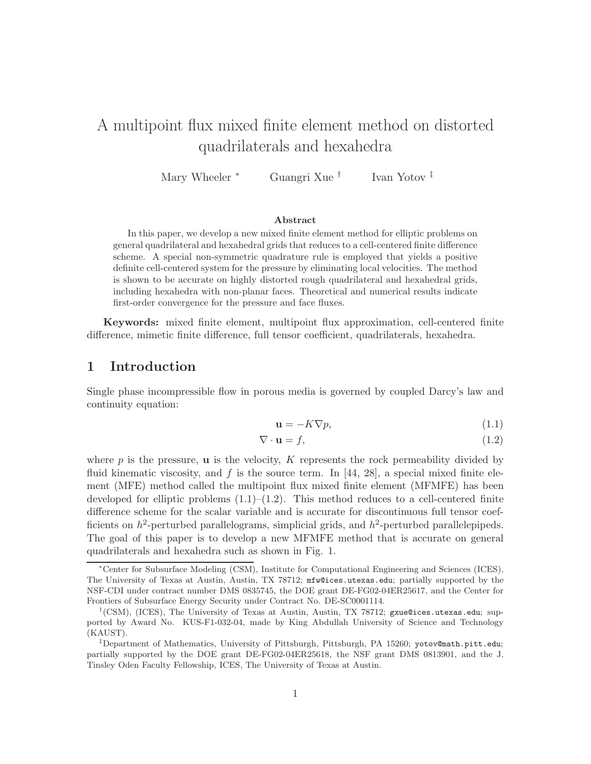# A multipoint flux mixed finite element method on distorted quadrilaterals and hexahedra

Mary Wheeler <sup>∗</sup> Guangri Xue <sup>†</sup> Ivan Yotov ‡

#### Abstract

In this paper, we develop a new mixed finite element method for elliptic problems on general quadrilateral and hexahedral grids that reduces to a cell-centered finite difference scheme. A special non-symmetric quadrature rule is employed that yields a positive definite cell-centered system for the pressure by eliminating local velocities. The method is shown to be accurate on highly distorted rough quadrilateral and hexahedral grids, including hexahedra with non-planar faces. Theoretical and numerical results indicate first-order convergence for the pressure and face fluxes.

Keywords: mixed finite element, multipoint flux approximation, cell-centered finite difference, mimetic finite difference, full tensor coefficient, quadrilaterals, hexahedra.

# 1 Introduction

Single phase incompressible flow in porous media is governed by coupled Darcy's law and continuity equation:

$$
\mathbf{u} = -K\nabla p,\tag{1.1}
$$

$$
\nabla \cdot \mathbf{u} = f,\tag{1.2}
$$

where  $p$  is the pressure, **u** is the velocity,  $K$  represents the rock permeability divided by fluid kinematic viscosity, and f is the source term. In [44, 28], a special mixed finite element (MFE) method called the multipoint flux mixed finite element (MFMFE) has been developed for elliptic problems  $(1.1)$ – $(1.2)$ . This method reduces to a cell-centered finite difference scheme for the scalar variable and is accurate for discontinuous full tensor coefficients on  $h^2$ -perturbed parallelograms, simplicial grids, and  $h^2$ -perturbed parallelepipeds. The goal of this paper is to develop a new MFMFE method that is accurate on general quadrilaterals and hexahedra such as shown in Fig. 1.

<sup>∗</sup>Center for Subsurface Modeling (CSM), Institute for Computational Engineering and Sciences (ICES), The University of Texas at Austin, Austin, TX 78712; mfw@ices.utexas.edu; partially supported by the NSF-CDI under contract number DMS 0835745, the DOE grant DE-FG02-04ER25617, and the Center for Frontiers of Subsurface Energy Security under Contract No. DE-SC0001114.

<sup>†</sup> (CSM), (ICES), The University of Texas at Austin, Austin, TX 78712; gxue@ices.utexas.edu; supported by Award No. KUS-F1-032-04, made by King Abdullah University of Science and Technology (KAUST).

<sup>&</sup>lt;sup>‡</sup>Department of Mathematics, University of Pittsburgh, Pittsburgh, PA 15260; yotov@math.pitt.edu; partially supported by the DOE grant DE-FG02-04ER25618, the NSF grant DMS 0813901, and the J. Tinsley Oden Faculty Fellowship, ICES, The University of Texas at Austin.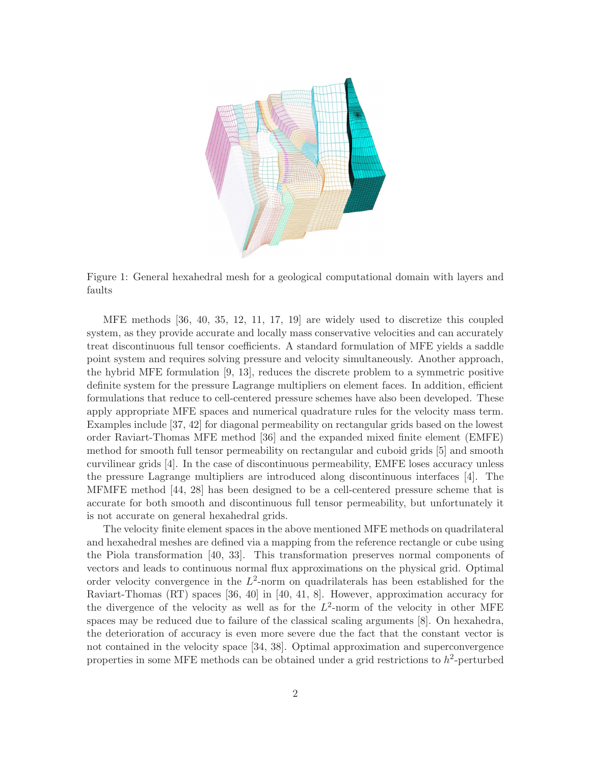

Figure 1: General hexahedral mesh for a geological computational domain with layers and faults

MFE methods [36, 40, 35, 12, 11, 17, 19] are widely used to discretize this coupled system, as they provide accurate and locally mass conservative velocities and can accurately treat discontinuous full tensor coefficients. A standard formulation of MFE yields a saddle point system and requires solving pressure and velocity simultaneously. Another approach, the hybrid MFE formulation [9, 13], reduces the discrete problem to a symmetric positive definite system for the pressure Lagrange multipliers on element faces. In addition, efficient formulations that reduce to cell-centered pressure schemes have also been developed. These apply appropriate MFE spaces and numerical quadrature rules for the velocity mass term. Examples include [37, 42] for diagonal permeability on rectangular grids based on the lowest order Raviart-Thomas MFE method [36] and the expanded mixed finite element (EMFE) method for smooth full tensor permeability on rectangular and cuboid grids [5] and smooth curvilinear grids [4]. In the case of discontinuous permeability, EMFE loses accuracy unless the pressure Lagrange multipliers are introduced along discontinuous interfaces [4]. The MFMFE method [44, 28] has been designed to be a cell-centered pressure scheme that is accurate for both smooth and discontinuous full tensor permeability, but unfortunately it is not accurate on general hexahedral grids.

The velocity finite element spaces in the above mentioned MFE methods on quadrilateral and hexahedral meshes are defined via a mapping from the reference rectangle or cube using the Piola transformation [40, 33]. This transformation preserves normal components of vectors and leads to continuous normal flux approximations on the physical grid. Optimal order velocity convergence in the  $L^2$ -norm on quadrilaterals has been established for the Raviart-Thomas (RT) spaces [36, 40] in [40, 41, 8]. However, approximation accuracy for the divergence of the velocity as well as for the  $L^2$ -norm of the velocity in other MFE spaces may be reduced due to failure of the classical scaling arguments [8]. On hexahedra, the deterioration of accuracy is even more severe due the fact that the constant vector is not contained in the velocity space [34, 38]. Optimal approximation and superconvergence properties in some MFE methods can be obtained under a grid restrictions to  $h^2$ -perturbed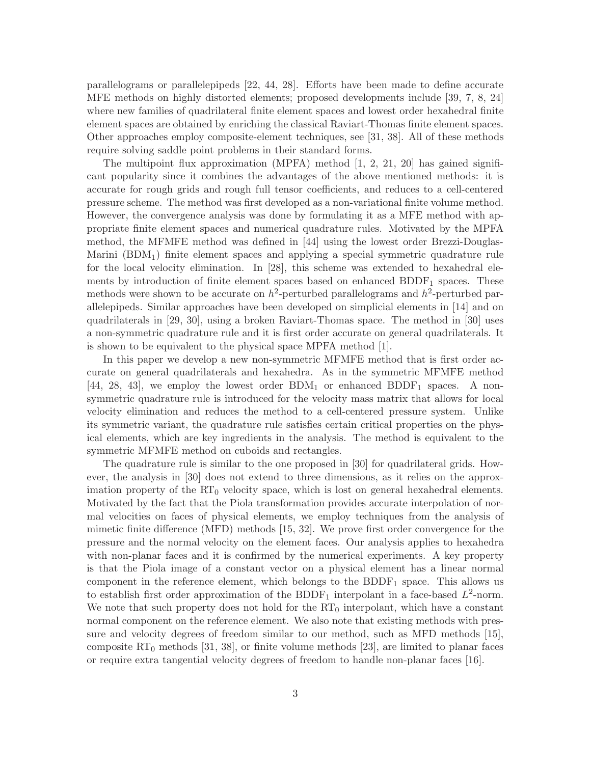parallelograms or parallelepipeds [22, 44, 28]. Efforts have been made to define accurate MFE methods on highly distorted elements; proposed developments include [39, 7, 8, 24] where new families of quadrilateral finite element spaces and lowest order hexahedral finite element spaces are obtained by enriching the classical Raviart-Thomas finite element spaces. Other approaches employ composite-element techniques, see [31, 38]. All of these methods require solving saddle point problems in their standard forms.

The multipoint flux approximation (MPFA) method  $[1, 2, 21, 20]$  has gained significant popularity since it combines the advantages of the above mentioned methods: it is accurate for rough grids and rough full tensor coefficients, and reduces to a cell-centered pressure scheme. The method was first developed as a non-variational finite volume method. However, the convergence analysis was done by formulating it as a MFE method with appropriate finite element spaces and numerical quadrature rules. Motivated by the MPFA method, the MFMFE method was defined in [44] using the lowest order Brezzi-Douglas-Marini  $(BDM_1)$  finite element spaces and applying a special symmetric quadrature rule for the local velocity elimination. In [28], this scheme was extended to hexahedral elements by introduction of finite element spaces based on enhanced BDDF<sup>1</sup> spaces. These methods were shown to be accurate on  $h^2$ -perturbed parallelograms and  $h^2$ -perturbed parallelepipeds. Similar approaches have been developed on simplicial elements in [14] and on quadrilaterals in [29, 30], using a broken Raviart-Thomas space. The method in [30] uses a non-symmetric quadrature rule and it is first order accurate on general quadrilaterals. It is shown to be equivalent to the physical space MPFA method [1].

In this paper we develop a new non-symmetric MFMFE method that is first order accurate on general quadrilaterals and hexahedra. As in the symmetric MFMFE method  $[44, 28, 43]$ , we employ the lowest order BDM<sub>1</sub> or enhanced BDDF<sub>1</sub> spaces. A nonsymmetric quadrature rule is introduced for the velocity mass matrix that allows for local velocity elimination and reduces the method to a cell-centered pressure system. Unlike its symmetric variant, the quadrature rule satisfies certain critical properties on the physical elements, which are key ingredients in the analysis. The method is equivalent to the symmetric MFMFE method on cuboids and rectangles.

The quadrature rule is similar to the one proposed in [30] for quadrilateral grids. However, the analysis in [30] does not extend to three dimensions, as it relies on the approximation property of the  $RT_0$  velocity space, which is lost on general hexahedral elements. Motivated by the fact that the Piola transformation provides accurate interpolation of normal velocities on faces of physical elements, we employ techniques from the analysis of mimetic finite difference (MFD) methods [15, 32]. We prove first order convergence for the pressure and the normal velocity on the element faces. Our analysis applies to hexahedra with non-planar faces and it is confirmed by the numerical experiments. A key property is that the Piola image of a constant vector on a physical element has a linear normal component in the reference element, which belongs to the  $BDDF<sub>1</sub>$  space. This allows us to establish first order approximation of the BDDF<sub>1</sub> interpolant in a face-based  $L^2$ -norm. We note that such property does not hold for the  $RT_0$  interpolant, which have a constant normal component on the reference element. We also note that existing methods with pressure and velocity degrees of freedom similar to our method, such as MFD methods [15], composite  $RT_0$  methods [31, 38], or finite volume methods [23], are limited to planar faces or require extra tangential velocity degrees of freedom to handle non-planar faces [16].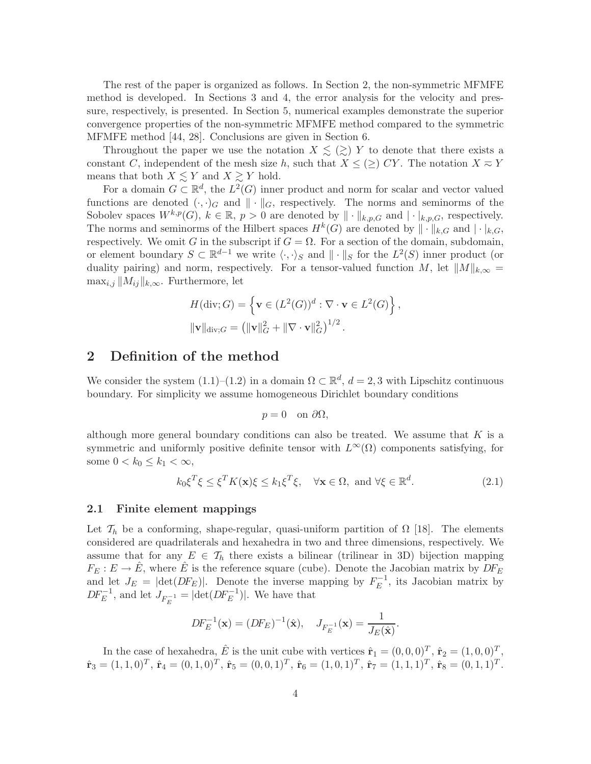The rest of the paper is organized as follows. In Section 2, the non-symmetric MFMFE method is developed. In Sections 3 and 4, the error analysis for the velocity and pressure, respectively, is presented. In Section 5, numerical examples demonstrate the superior convergence properties of the non-symmetric MFMFE method compared to the symmetric MFMFE method [44, 28]. Conclusions are given in Section 6.

Throughout the paper we use the notation  $X \leq (\geq) Y$  to denote that there exists a constant C, independent of the mesh size h, such that  $X \leq (\geq) CY$ . The notation  $X \approx Y$ means that both  $X \leq Y$  and  $X \geq Y$  hold.

For a domain  $G \subset \mathbb{R}^d$ , the  $L^2(G)$  inner product and norm for scalar and vector valued functions are denoted  $(\cdot, \cdot)_G$  and  $\|\cdot\|_G$ , respectively. The norms and seminorms of the Sobolev spaces  $W^{k,p}(G)$ ,  $k \in \mathbb{R}$ ,  $p > 0$  are denoted by  $\|\cdot\|_{k,p,G}$  and  $|\cdot|_{k,p,G}$ , respectively. The norms and seminorms of the Hilbert spaces  $H^k(G)$  are denoted by  $\|\cdot\|_{k,G}$  and  $|\cdot|_{k,G}$ , respectively. We omit G in the subscript if  $G = \Omega$ . For a section of the domain, subdomain, or element boundary  $S \subset \mathbb{R}^{d-1}$  we write  $\langle \cdot, \cdot \rangle_S$  and  $\|\cdot\|_S$  for the  $L^2(S)$  inner product (or duality pairing) and norm, respectively. For a tensor-valued function M, let  $||M||_{k,\infty} =$  $\max_{i,j} ||M_{ij}||_{k,\infty}$ . Furthermore, let

$$
H(\text{div}; G) = \left\{ \mathbf{v} \in (L^2(G))^d : \nabla \cdot \mathbf{v} \in L^2(G) \right\},
$$
  

$$
\|\mathbf{v}\|_{\text{div}; G} = \left( \|\mathbf{v}\|_G^2 + \|\nabla \cdot \mathbf{v}\|_G^2 \right)^{1/2}.
$$

# 2 Definition of the method

We consider the system  $(1.1)$ – $(1.2)$  in a domain  $\Omega \subset \mathbb{R}^d$ ,  $d = 2, 3$  with Lipschitz continuous boundary. For simplicity we assume homogeneous Dirichlet boundary conditions

$$
p = 0 \quad \text{on } \partial\Omega,
$$

although more general boundary conditions can also be treated. We assume that  $K$  is a symmetric and uniformly positive definite tensor with  $L^{\infty}(\Omega)$  components satisfying, for some  $0 < k_0 \leq k_1 < \infty$ ,

$$
k_0 \xi^T \xi \le \xi^T K(\mathbf{x}) \xi \le k_1 \xi^T \xi, \quad \forall \mathbf{x} \in \Omega, \text{ and } \forall \xi \in \mathbb{R}^d. \tag{2.1}
$$

#### 2.1 Finite element mappings

Let  $\mathcal{T}_h$  be a conforming, shape-regular, quasi-uniform partition of  $\Omega$  [18]. The elements considered are quadrilaterals and hexahedra in two and three dimensions, respectively. We assume that for any  $E \in \mathcal{T}_h$  there exists a bilinear (trilinear in 3D) bijection mapping  $F_E: E \to \hat{E}$ , where  $\hat{E}$  is the reference square (cube). Denote the Jacobian matrix by  $DF_E$ and let  $J_E = |\text{det}(DF_E)|$ . Denote the inverse mapping by  $F_E^{-1}$  $E^{-1}$ , its Jacobian matrix by  $DF_E^{-1}$ , and let  $J_{F_E^{-1}} = |\text{det}(DF_E^{-1})|$ . We have that

$$
DF_E^{-1}(\mathbf{x}) = (DF_E)^{-1}(\hat{\mathbf{x}}), \quad J_{F_E^{-1}}(\mathbf{x}) = \frac{1}{J_E(\hat{\mathbf{x}})}.
$$

In the case of hexahedra,  $\hat{E}$  is the unit cube with vertices  $\hat{\mathbf{r}}_1 = (0, 0, 0)^T$ ,  $\hat{\mathbf{r}}_2 = (1, 0, 0)^T$ ,  $\hat{\mathbf{r}}_3 = (1, 1, 0)^T, \, \hat{\mathbf{r}}_4 = (0, 1, 0)^T, \, \hat{\mathbf{r}}_5 = (0, 0, 1)^T, \, \hat{\mathbf{r}}_6 = (1, 0, 1)^T, \, \hat{\mathbf{r}}_7 = (1, 1, 1)^T, \, \hat{\mathbf{r}}_8 = (0, 1, 1)^T.$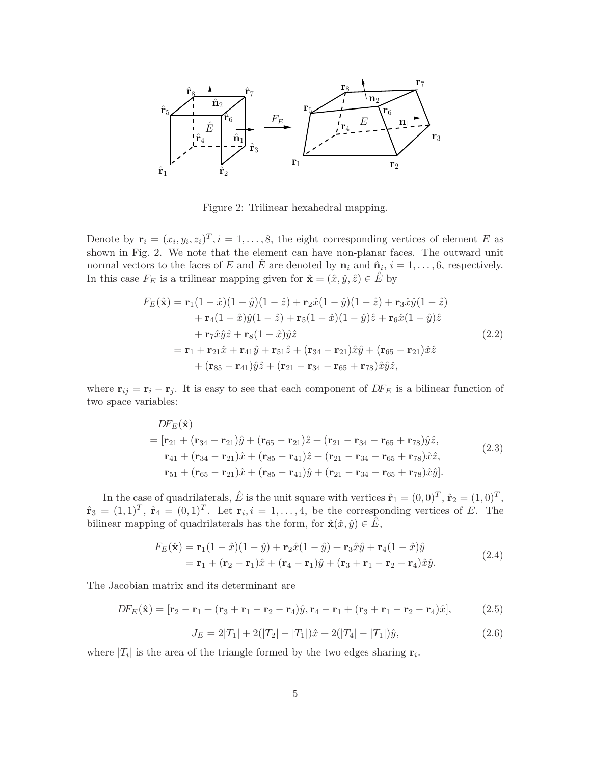

Figure 2: Trilinear hexahedral mapping.

Denote by  $\mathbf{r}_i = (x_i, y_i, z_i)^T, i = 1, \dots, 8$ , the eight corresponding vertices of element E as shown in Fig. 2. We note that the element can have non-planar faces. The outward unit normal vectors to the faces of E and  $\hat{E}$  are denoted by  $\mathbf{n}_i$  and  $\hat{\mathbf{n}}_i$ ,  $i = 1, \ldots, 6$ , respectively. In this case  $F_E$  is a trilinear mapping given for  $\hat{\mathbf{x}} = (\hat{x}, \hat{y}, \hat{z}) \in \hat{E}$  by

$$
F_E(\hat{\mathbf{x}}) = \mathbf{r}_1(1-\hat{x})(1-\hat{y})(1-\hat{z}) + \mathbf{r}_2\hat{x}(1-\hat{y})(1-\hat{z}) + \mathbf{r}_3\hat{x}\hat{y}(1-\hat{z}) + \mathbf{r}_4(1-\hat{x})\hat{y}(1-\hat{z}) + \mathbf{r}_5(1-\hat{x})(1-\hat{y})\hat{z} + \mathbf{r}_6\hat{x}(1-\hat{y})\hat{z} + \mathbf{r}_7\hat{x}\hat{y}\hat{z} + \mathbf{r}_8(1-\hat{x})\hat{y}\hat{z} = \mathbf{r}_1 + \mathbf{r}_{21}\hat{x} + \mathbf{r}_{41}\hat{y} + \mathbf{r}_{51}\hat{z} + (\mathbf{r}_{34} - \mathbf{r}_{21})\hat{x}\hat{y} + (\mathbf{r}_{65} - \mathbf{r}_{21})\hat{x}\hat{z} + (\mathbf{r}_{85} - \mathbf{r}_{41})\hat{y}\hat{z} + (\mathbf{r}_{21} - \mathbf{r}_{34} - \mathbf{r}_{65} + \mathbf{r}_{78})\hat{x}\hat{y}\hat{z},
$$
\n(2.2)

where  $\mathbf{r}_{ij} = \mathbf{r}_i - \mathbf{r}_j$ . It is easy to see that each component of  $DF_E$  is a bilinear function of two space variables:

$$
DF_E(\hat{\mathbf{x}})
$$
  
=  $[\mathbf{r}_{21} + (\mathbf{r}_{34} - \mathbf{r}_{21})\hat{y} + (\mathbf{r}_{65} - \mathbf{r}_{21})\hat{z} + (\mathbf{r}_{21} - \mathbf{r}_{34} - \mathbf{r}_{65} + \mathbf{r}_{78})\hat{y}\hat{z},$   

$$
\mathbf{r}_{41} + (\mathbf{r}_{34} - \mathbf{r}_{21})\hat{x} + (\mathbf{r}_{85} - \mathbf{r}_{41})\hat{z} + (\mathbf{r}_{21} - \mathbf{r}_{34} - \mathbf{r}_{65} + \mathbf{r}_{78})\hat{x}\hat{z},
$$
  

$$
\mathbf{r}_{51} + (\mathbf{r}_{65} - \mathbf{r}_{21})\hat{x} + (\mathbf{r}_{85} - \mathbf{r}_{41})\hat{y} + (\mathbf{r}_{21} - \mathbf{r}_{34} - \mathbf{r}_{65} + \mathbf{r}_{78})\hat{x}\hat{y}].
$$
 (2.3)

In the case of quadrilaterals,  $\hat{E}$  is the unit square with vertices  $\hat{\mathbf{r}}_1 = (0,0)^T$ ,  $\hat{\mathbf{r}}_2 = (1,0)^T$ ,  $\hat{\mathbf{r}}_3 = (1,1)^T$ ,  $\hat{\mathbf{r}}_4 = (0,1)^T$ . Let  $\mathbf{r}_i$ ,  $i = 1, \ldots, 4$ , be the corresponding vertices of E. The bilinear mapping of quadrilaterals has the form, for  $\hat{\mathbf{x}}(\hat{x}, \hat{y}) \in \hat{E}$ ,

$$
F_E(\hat{\mathbf{x}}) = \mathbf{r}_1(1-\hat{x})(1-\hat{y}) + \mathbf{r}_2\hat{x}(1-\hat{y}) + \mathbf{r}_3\hat{x}\hat{y} + \mathbf{r}_4(1-\hat{x})\hat{y}
$$
  
=  $\mathbf{r}_1 + (\mathbf{r}_2 - \mathbf{r}_1)\hat{x} + (\mathbf{r}_4 - \mathbf{r}_1)\hat{y} + (\mathbf{r}_3 + \mathbf{r}_1 - \mathbf{r}_2 - \mathbf{r}_4)\hat{x}\hat{y}.$  (2.4)

The Jacobian matrix and its determinant are

$$
DF_E(\hat{\mathbf{x}}) = [\mathbf{r}_2 - \mathbf{r}_1 + (\mathbf{r}_3 + \mathbf{r}_1 - \mathbf{r}_2 - \mathbf{r}_4)\hat{y}, \mathbf{r}_4 - \mathbf{r}_1 + (\mathbf{r}_3 + \mathbf{r}_1 - \mathbf{r}_2 - \mathbf{r}_4)\hat{x}],
$$
(2.5)

$$
J_E = 2|T_1| + 2(|T_2| - |T_1|)\hat{x} + 2(|T_4| - |T_1|)\hat{y},\tag{2.6}
$$

where  $|T_i|$  is the area of the triangle formed by the two edges sharing  $r_i$ .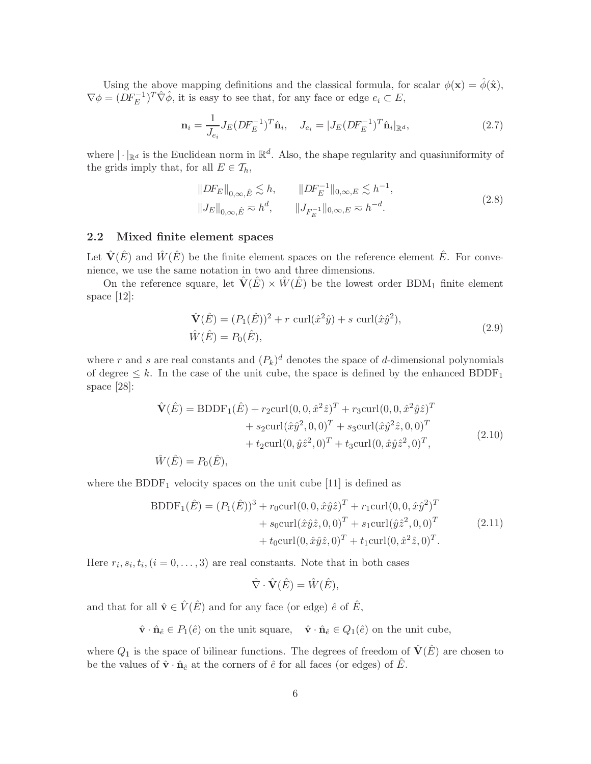Using the above mapping definitions and the classical formula, for scalar  $\phi(\mathbf{x}) = \hat{\phi}(\hat{\mathbf{x}})$ ,  $\nabla \phi = (DF_E^{-1})^T \hat{\nabla} \hat{\phi}$ , it is easy to see that, for any face or edge  $e_i \subset E$ ,

$$
\mathbf{n}_{i} = \frac{1}{J_{e_i}} J_E (DF_E^{-1})^T \hat{\mathbf{n}}_i, \quad J_{e_i} = |J_E (DF_E^{-1})^T \hat{\mathbf{n}}_i|_{\mathbb{R}^d},\tag{2.7}
$$

where  $|\cdot|_{\mathbb{R}^d}$  is the Euclidean norm in  $\mathbb{R}^d$ . Also, the shape regularity and quasiuniformity of the grids imply that, for all  $E \in \mathcal{T}_h$ ,

$$
||DF_E||_{0,\infty,\hat{E}} \lesssim h, \qquad ||DF_E^{-1}||_{0,\infty,E} \lesssim h^{-1},
$$
  

$$
||J_E||_{0,\infty,\hat{E}} \approx h^d, \qquad ||J_{F_E^{-1}}||_{0,\infty,E} \approx h^{-d}.
$$
 (2.8)

#### 2.2 Mixed finite element spaces

Let  $\hat{\mathbf{V}}(\hat{E})$  and  $\hat{W}(\hat{E})$  be the finite element spaces on the reference element  $\hat{E}$ . For convenience, we use the same notation in two and three dimensions.

On the reference square, let  $\hat{V}(E) \times \hat{W}(E)$  be the lowest order BDM<sub>1</sub> finite element space [12]:

$$
\hat{\mathbf{V}}(\hat{E}) = (P_1(\hat{E}))^2 + r \operatorname{curl}(\hat{x}^2 \hat{y}) + s \operatorname{curl}(\hat{x} \hat{y}^2), \n\hat{W}(\hat{E}) = P_0(\hat{E}),
$$
\n(2.9)

where r and s are real constants and  $(P_k)^d$  denotes the space of d-dimensional polynomials of degree  $\leq k$ . In the case of the unit cube, the space is defined by the enhanced BDDF<sub>1</sub> space [28]:

$$
\hat{\mathbf{V}}(\hat{E}) = \text{BDDF}_1(\hat{E}) + r_2 \text{curl}(0, 0, \hat{x}^2 \hat{z})^T + r_3 \text{curl}(0, 0, \hat{x}^2 \hat{y} \hat{z})^T \n+ s_2 \text{curl}(\hat{x} \hat{y}^2, 0, 0)^T + s_3 \text{curl}(\hat{x} \hat{y}^2 \hat{z}, 0, 0)^T \n+ t_2 \text{curl}(0, \hat{y} \hat{z}^2, 0)^T + t_3 \text{curl}(0, \hat{x} \hat{y} \hat{z}^2, 0)^T,
$$
\n(2.10)

 $\hat{W}(\hat{E}) = P_0(\hat{E}),$ 

where the BDDF<sub>1</sub> velocity spaces on the unit cube  $[11]$  is defined as

$$
BDDF_1(\hat{E}) = (P_1(\hat{E}))^3 + r_0 \text{curl}(0, 0, \hat{x}\hat{y}\hat{z})^T + r_1 \text{curl}(0, 0, \hat{x}\hat{y}^2)^T
$$
  
+  $s_0 \text{curl}(\hat{x}\hat{y}\hat{z}, 0, 0)^T + s_1 \text{curl}(\hat{y}\hat{z}^2, 0, 0)^T$   
+  $t_0 \text{curl}(0, \hat{x}\hat{y}\hat{z}, 0)^T + t_1 \text{curl}(0, \hat{x}^2\hat{z}, 0)^T$ . (2.11)

Here  $r_i, s_i, t_i, (i = 0, \ldots, 3)$  are real constants. Note that in both cases

$$
\hat{\nabla} \cdot \hat{\mathbf{V}}(\hat{E}) = \hat{W}(\hat{E}),
$$

and that for all  $\hat{\mathbf{v}} \in \hat{V}(\hat{E})$  and for any face (or edge)  $\hat{e}$  of  $\hat{E}$ ,

 $\hat{\mathbf{v}} \cdot \hat{\mathbf{n}}_{\hat{e}} \in P_1(\hat{e})$  on the unit square,  $\hat{\mathbf{v}} \cdot \hat{\mathbf{n}}_{\hat{e}} \in Q_1(\hat{e})$  on the unit cube,

where  $Q_1$  is the space of bilinear functions. The degrees of freedom of  $\hat{V}(\hat{E})$  are chosen to be the values of  $\hat{\mathbf{v}} \cdot \hat{\mathbf{n}}_{\hat{e}}$  at the corners of  $\hat{e}$  for all faces (or edges) of  $\hat{E}$ .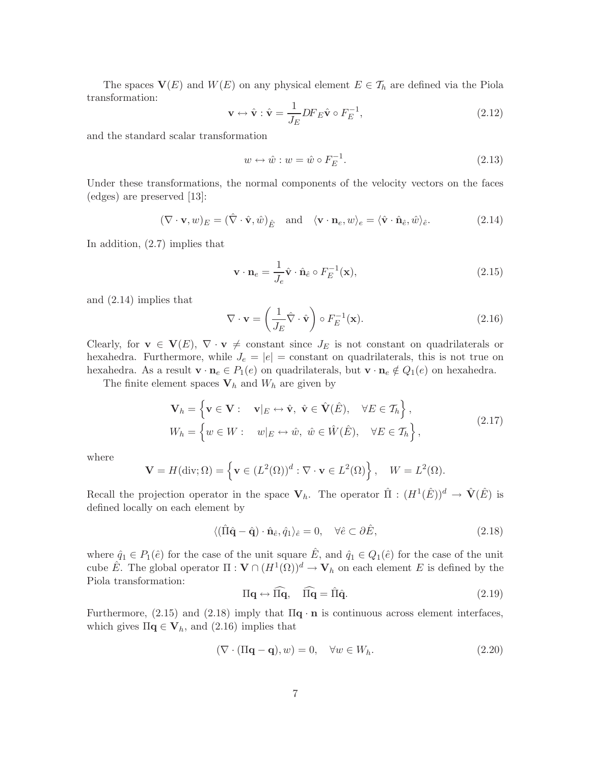The spaces  $V(E)$  and  $W(E)$  on any physical element  $E \in \mathcal{T}_h$  are defined via the Piola transformation:

$$
\mathbf{v} \leftrightarrow \hat{\mathbf{v}} : \hat{\mathbf{v}} = \frac{1}{J_E} DF_E \hat{\mathbf{v}} \circ F_E^{-1}, \tag{2.12}
$$

and the standard scalar transformation

$$
w \leftrightarrow \hat{w} : w = \hat{w} \circ F_E^{-1}.
$$
\n
$$
(2.13)
$$

Under these transformations, the normal components of the velocity vectors on the faces (edges) are preserved [13]:

$$
(\nabla \cdot \mathbf{v}, w)_E = (\hat{\nabla} \cdot \hat{\mathbf{v}}, \hat{w})_{\hat{E}} \quad \text{and} \quad \langle \mathbf{v} \cdot \mathbf{n}_e, w \rangle_e = \langle \hat{\mathbf{v}} \cdot \hat{\mathbf{n}}_{\hat{e}}, \hat{w} \rangle_{\hat{e}}.
$$
 (2.14)

In addition, (2.7) implies that

$$
\mathbf{v} \cdot \mathbf{n}_e = \frac{1}{J_e} \hat{\mathbf{v}} \cdot \hat{\mathbf{n}}_{\hat{e}} \circ F_E^{-1}(\mathbf{x}), \qquad (2.15)
$$

and (2.14) implies that

$$
\nabla \cdot \mathbf{v} = \left(\frac{1}{J_E} \hat{\nabla} \cdot \hat{\mathbf{v}}\right) \circ F_E^{-1}(\mathbf{x}).\tag{2.16}
$$

Clearly, for  $\mathbf{v} \in \mathbf{V}(E)$ ,  $\nabla \cdot \mathbf{v} \neq \text{constant}$  since  $J_E$  is not constant on quadrilaterals or hexahedra. Furthermore, while  $J_e = |e| = constant$  on quadrilaterals, this is not true on hexahedra. As a result  $\mathbf{v} \cdot \mathbf{n}_e \in P_1(e)$  on quadrilaterals, but  $\mathbf{v} \cdot \mathbf{n}_e \notin Q_1(e)$  on hexahedra.

The finite element spaces  $V_h$  and  $W_h$  are given by

$$
\mathbf{V}_h = \left\{ \mathbf{v} \in \mathbf{V} : \quad \mathbf{v}|_E \leftrightarrow \hat{\mathbf{v}}, \ \hat{\mathbf{v}} \in \hat{\mathbf{V}}(\hat{E}), \quad \forall E \in \mathcal{T}_h \right\},\
$$
  
\n
$$
W_h = \left\{ w \in W : \quad w|_E \leftrightarrow \hat{w}, \ \hat{w} \in \hat{W}(\hat{E}), \quad \forall E \in \mathcal{T}_h \right\},\
$$
\n(2.17)

where

$$
\mathbf{V} = H(\text{div}; \Omega) = \left\{ \mathbf{v} \in (L^2(\Omega))^d : \nabla \cdot \mathbf{v} \in L^2(\Omega) \right\}, \quad W = L^2(\Omega).
$$

Recall the projection operator in the space  $V_h$ . The operator  $\hat{\Pi} : (H^1(\hat{E}))^d \to \hat{V}(\hat{E})$  is defined locally on each element by

$$
\langle (\hat{\Pi}\hat{\mathbf{q}} - \hat{\mathbf{q}}) \cdot \hat{\mathbf{n}}_{\hat{e}}, \hat{q}_1 \rangle_{\hat{e}} = 0, \quad \forall \hat{e} \subset \partial \hat{E}, \tag{2.18}
$$

where  $\hat{q}_1 \in P_1(\hat{e})$  for the case of the unit square  $\hat{E}$ , and  $\hat{q}_1 \in Q_1(\hat{e})$  for the case of the unit cube  $\hat{E}$ . The global operator  $\Pi : \mathbf{V} \cap (H^1(\Omega))^d \to \mathbf{V}_h$  on each element E is defined by the Piola transformation:

$$
\Pi \mathbf{q} \leftrightarrow \widehat{\Pi \mathbf{q}}, \quad \widehat{\Pi \mathbf{q}} = \widehat{\Pi} \widehat{\mathbf{q}}.
$$
\n(2.19)

Furthermore,  $(2.15)$  and  $(2.18)$  imply that  $\Pi$ **q**  $\cdot$  **n** is continuous across element interfaces, which gives  $\Pi \in \mathbf{V}_h$ , and  $(2.16)$  implies that

$$
(\nabla \cdot (\Pi \mathbf{q} - \mathbf{q}), w) = 0, \quad \forall w \in W_h.
$$
\n(2.20)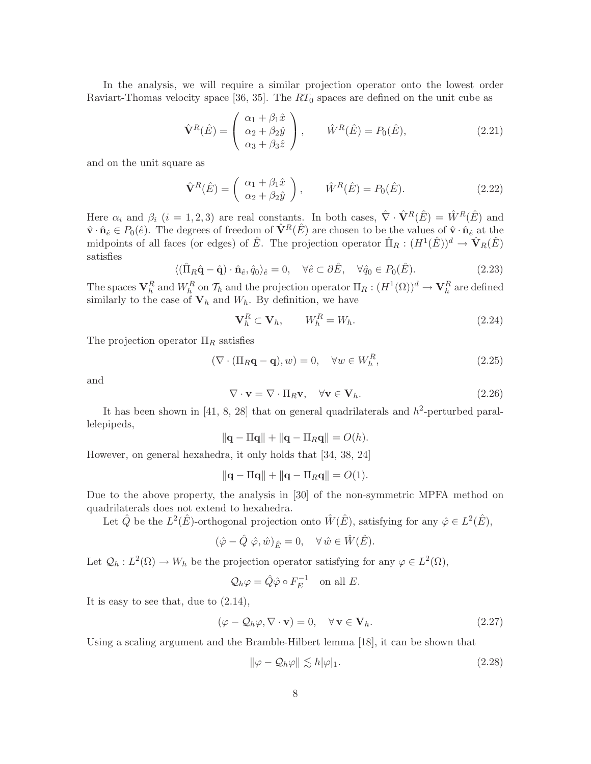In the analysis, we will require a similar projection operator onto the lowest order Raviart-Thomas velocity space [36, 35]. The  $RT_0$  spaces are defined on the unit cube as

$$
\hat{\mathbf{V}}^R(\hat{E}) = \begin{pmatrix} \alpha_1 + \beta_1 \hat{x} \\ \alpha_2 + \beta_2 \hat{y} \\ \alpha_3 + \beta_3 \hat{z} \end{pmatrix}, \qquad \hat{W}^R(\hat{E}) = P_0(\hat{E}), \tag{2.21}
$$

and on the unit square as

$$
\hat{\mathbf{V}}^R(\hat{E}) = \begin{pmatrix} \alpha_1 + \beta_1 \hat{x} \\ \alpha_2 + \beta_2 \hat{y} \end{pmatrix}, \qquad \hat{W}^R(\hat{E}) = P_0(\hat{E}). \tag{2.22}
$$

Here  $\alpha_i$  and  $\beta_i$  (i = 1, 2, 3) are real constants. In both cases,  $\hat{\nabla} \cdot \hat{\mathbf{V}}^R(\hat{E}) = \hat{W}^R(\hat{E})$  and  $\hat{\mathbf{v}} \cdot \hat{\mathbf{n}}_{\hat{e}} \in P_0(\hat{e})$ . The degrees of freedom of  $\hat{\mathbf{V}}^R(\hat{E})$  are chosen to be the values of  $\hat{\mathbf{v}} \cdot \hat{\mathbf{n}}_{\hat{e}}$  at the midpoints of all faces (or edges) of  $\hat{E}$ . The projection operator  $\hat{\Pi}_R: (H^1(\hat{E}))^d \to \hat{\mathbf{V}}_R(\hat{E})$ satisfies

$$
\langle (\hat{\Pi}_R \hat{\mathbf{q}} - \hat{\mathbf{q}}) \cdot \hat{\mathbf{n}}_{\hat{e}}, \hat{q}_0 \rangle_{\hat{e}} = 0, \quad \forall \hat{e} \subset \partial \hat{E}, \quad \forall \hat{q}_0 \in P_0(\hat{E}). \tag{2.23}
$$

The spaces  $V_h^R$  and  $W_h^R$  on  $\mathcal{T}_h$  and the projection operator  $\Pi_R: (H^1(\Omega))^d \to \mathbf{V}_h^R$  are defined similarly to the case of  $V_h$  and  $W_h$ . By definition, we have

$$
\mathbf{V}_h^R \subset \mathbf{V}_h, \qquad W_h^R = W_h. \tag{2.24}
$$

The projection operator  $\Pi_R$  satisfies

$$
(\nabla \cdot (\Pi_R \mathbf{q} - \mathbf{q}), w) = 0, \quad \forall w \in W_h^R,
$$
\n(2.25)

and

$$
\nabla \cdot \mathbf{v} = \nabla \cdot \Pi_R \mathbf{v}, \quad \forall \mathbf{v} \in \mathbf{V}_h.
$$
\n(2.26)

It has been shown in [41, 8, 28] that on general quadrilaterals and  $h^2$ -perturbed parallelepipeds,

$$
\|\mathbf{q} - \Pi \mathbf{q}\| + \|\mathbf{q} - \Pi_R \mathbf{q}\| = O(h).
$$

However, on general hexahedra, it only holds that [34, 38, 24]

$$
\|\mathbf{q} - \Pi \mathbf{q}\| + \|\mathbf{q} - \Pi_R \mathbf{q}\| = O(1).
$$

Due to the above property, the analysis in [30] of the non-symmetric MPFA method on quadrilaterals does not extend to hexahedra.

Let  $\hat{Q}$  be the  $L^2(\hat{E})$ -orthogonal projection onto  $\hat{W}(\hat{E})$ , satisfying for any  $\hat{\varphi} \in L^2(\hat{E})$ ,

$$
(\hat{\varphi} - \hat{Q} \hat{\varphi}, \hat{w})_{\hat{E}} = 0, \quad \forall \hat{w} \in \hat{W}(\hat{E}).
$$

Let  $\mathcal{Q}_h : L^2(\Omega) \to W_h$  be the projection operator satisfying for any  $\varphi \in L^2(\Omega)$ ,

$$
\mathcal{Q}_h \varphi = \hat{Q} \hat{\varphi} \circ F_E^{-1} \quad \text{on all } E.
$$

It is easy to see that, due to (2.14),

$$
(\varphi - \mathcal{Q}_h \varphi, \nabla \cdot \mathbf{v}) = 0, \quad \forall \mathbf{v} \in \mathbf{V}_h.
$$
\n(2.27)

Using a scaling argument and the Bramble-Hilbert lemma [18], it can be shown that

$$
\|\varphi - \mathcal{Q}_h\varphi\| \lesssim h|\varphi|_1. \tag{2.28}
$$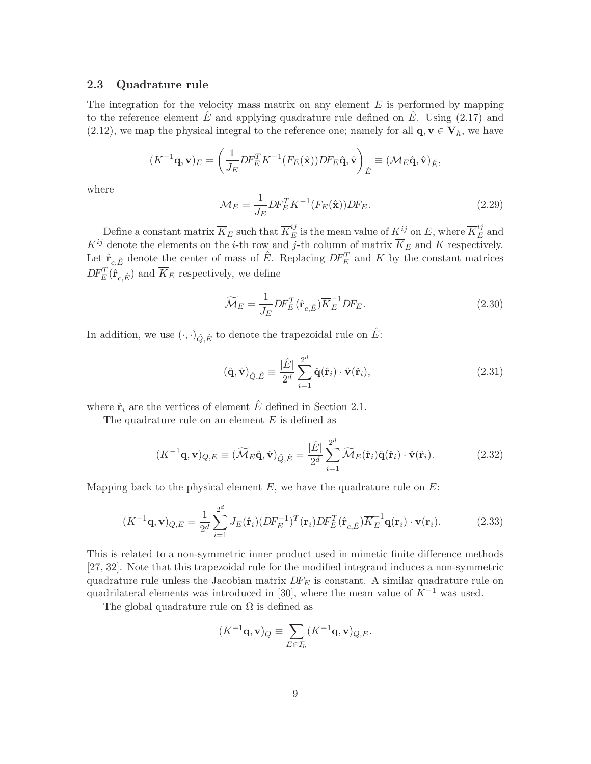#### 2.3 Quadrature rule

The integration for the velocity mass matrix on any element  $E$  is performed by mapping to the reference element  $E$  and applying quadrature rule defined on  $E$ . Using (2.17) and (2.12), we map the physical integral to the reference one; namely for all  $\mathbf{q}, \mathbf{v} \in \mathbf{V}_h$ , we have

$$
(K^{-1}\mathbf{q},\mathbf{v})_E = \left(\frac{1}{J_E}DF_E^T K^{-1}(F_E(\hat{\mathbf{x}}))DF_E\hat{\mathbf{q}}, \hat{\mathbf{v}}\right)_{\hat{E}} \equiv (\mathcal{M}_E\hat{\mathbf{q}}, \hat{\mathbf{v}})_{\hat{E}},
$$

where

$$
\mathcal{M}_E = \frac{1}{J_E} DF_E^T K^{-1}(F_E(\hat{\mathbf{x}})) DF_E.
$$
\n(2.29)

Define a constant matrix  $\overline{K}_E$  such that  $\overline{K}_E^{ij}$  is the mean value of  $K^{ij}$  on E, where  $\overline{K}_E^{ij}$  and  $K^{ij}$  denote the elements on the *i*-th row and *j*-th column of matrix  $\overline{K}_E$  and K respectively. Let  $\hat{\mathbf{r}}_{c,\hat{E}}$  denote the center of mass of  $\hat{E}$ . Replacing  $DF_E^T$  and K by the constant matrices  $DF_E^T(\hat{\mathbf{r}}_{c,\hat{E}})$  and  $\overline{K}_E$  respectively, we define

$$
\widetilde{\mathcal{M}}_E = \frac{1}{J_E} DF_E^T(\hat{\mathbf{r}}_{c,\hat{E}}) \overline{K}_E^{-1} DF_E.
$$
\n(2.30)

In addition, we use  $(\cdot,\cdot)_{\hat{Q},\hat{E}}$  to denote the trapezoidal rule on  $\hat{E}$ :

$$
(\hat{\mathbf{q}}, \hat{\mathbf{v}})_{\hat{Q}, \hat{E}} \equiv \frac{|\hat{E}|}{2^d} \sum_{i=1}^{2^d} \hat{\mathbf{q}}(\hat{\mathbf{r}}_i) \cdot \hat{\mathbf{v}}(\hat{\mathbf{r}}_i), \qquad (2.31)
$$

where  $\hat{\mathbf{r}}_i$  are the vertices of element  $\hat{E}$  defined in Section 2.1.

The quadrature rule on an element  $E$  is defined as

$$
(K^{-1}\mathbf{q}, \mathbf{v})_{Q,E} \equiv (\widetilde{\mathcal{M}}_E \hat{\mathbf{q}}, \hat{\mathbf{v}})_{\hat{Q}, \hat{E}} = \frac{|\hat{E}|}{2^d} \sum_{i=1}^{2^d} \widetilde{\mathcal{M}}_E(\hat{\mathbf{r}}_i) \hat{\mathbf{q}}(\hat{\mathbf{r}}_i) \cdot \hat{\mathbf{v}}(\hat{\mathbf{r}}_i).
$$
(2.32)

Mapping back to the physical element  $E$ , we have the quadrature rule on  $E$ :

$$
(K^{-1}\mathbf{q}, \mathbf{v})_{Q,E} = \frac{1}{2^d} \sum_{i=1}^{2^d} J_E(\hat{\mathbf{r}}_i) (DF_E^{-1})^T(\mathbf{r}_i) DF_E^T(\hat{\mathbf{r}}_{c,\hat{E}}) \overline{K}_E^{-1} \mathbf{q}(\mathbf{r}_i) \cdot \mathbf{v}(\mathbf{r}_i).
$$
(2.33)

This is related to a non-symmetric inner product used in mimetic finite difference methods [27, 32]. Note that this trapezoidal rule for the modified integrand induces a non-symmetric quadrature rule unless the Jacobian matrix  $DF_E$  is constant. A similar quadrature rule on quadrilateral elements was introduced in [30], where the mean value of  $K^{-1}$  was used.

The global quadrature rule on  $\Omega$  is defined as

$$
(K^{-1}\mathbf{q}, \mathbf{v})_Q \equiv \sum_{E \in \mathcal{T}_h} (K^{-1}\mathbf{q}, \mathbf{v})_{Q,E}.
$$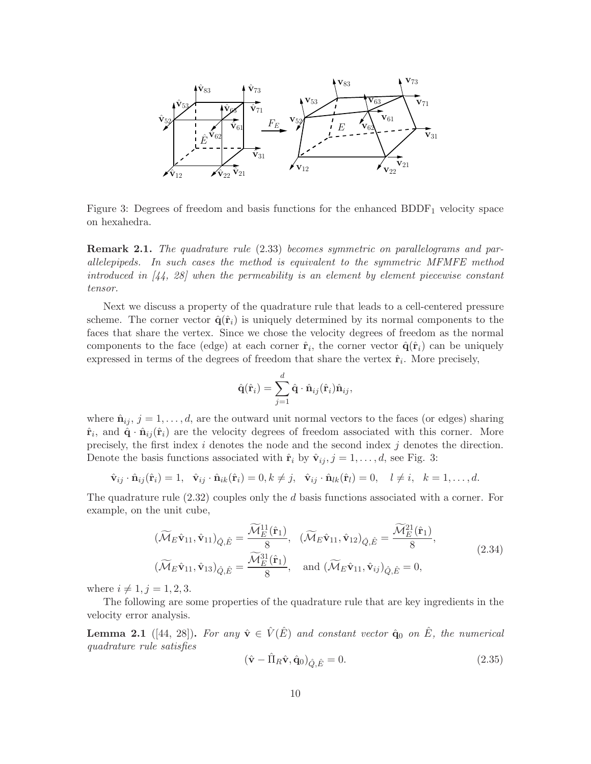

Figure 3: Degrees of freedom and basis functions for the enhanced  $BDDF_1$  velocity space on hexahedra.

Remark 2.1. *The quadrature rule* (2.33) *becomes symmetric on parallelograms and parallelepipeds. In such cases the method is equivalent to the symmetric MFMFE method introduced in [44, 28] when the permeability is an element by element piecewise constant tensor.*

Next we discuss a property of the quadrature rule that leads to a cell-centered pressure scheme. The corner vector  $\hat{\mathbf{q}}(\hat{\mathbf{r}}_i)$  is uniquely determined by its normal components to the faces that share the vertex. Since we chose the velocity degrees of freedom as the normal components to the face (edge) at each corner  $\hat{\mathbf{r}}_i$ , the corner vector  $\hat{\mathbf{q}}(\hat{\mathbf{r}}_i)$  can be uniquely expressed in terms of the degrees of freedom that share the vertex  $\hat{\mathbf{r}}_i$ . More precisely,

$$
\hat{\mathbf{q}}(\hat{\mathbf{r}}_i) = \sum_{j=1}^d \hat{\mathbf{q}} \cdot \hat{\mathbf{n}}_{ij}(\hat{\mathbf{r}}_i) \hat{\mathbf{n}}_{ij},
$$

where  $\hat{\mathbf{n}}_{ij}$ ,  $j = 1, \ldots, d$ , are the outward unit normal vectors to the faces (or edges) sharing  $\hat{\mathbf{r}}_i$ , and  $\hat{\mathbf{q}} \cdot \hat{\mathbf{n}}_{ij}(\hat{\mathbf{r}}_i)$  are the velocity degrees of freedom associated with this corner. More precisely, the first index  $i$  denotes the node and the second index  $j$  denotes the direction. Denote the basis functions associated with  $\hat{\mathbf{r}}_i$  by  $\hat{\mathbf{v}}_{ij}$ ,  $j = 1, \ldots, d$ , see Fig. 3:

$$
\hat{\mathbf{v}}_{ij} \cdot \hat{\mathbf{n}}_{ij}(\hat{\mathbf{r}}_i) = 1, \quad \hat{\mathbf{v}}_{ij} \cdot \hat{\mathbf{n}}_{ik}(\hat{\mathbf{r}}_i) = 0, k \neq j, \quad \hat{\mathbf{v}}_{ij} \cdot \hat{\mathbf{n}}_{lk}(\hat{\mathbf{r}}_l) = 0, \quad l \neq i, \quad k = 1, \ldots, d.
$$

The quadrature rule  $(2.32)$  couples only the d basis functions associated with a corner. For example, on the unit cube,

$$
\begin{aligned}\n(\widetilde{\mathcal{M}}_{E}\hat{\mathbf{v}}_{11}, \hat{\mathbf{v}}_{11})_{\hat{Q}, \hat{E}} &= \frac{\widetilde{\mathcal{M}}_{E}^{11}(\hat{\mathbf{r}}_{1})}{8}, \quad (\widetilde{\mathcal{M}}_{E}\hat{\mathbf{v}}_{11}, \hat{\mathbf{v}}_{12})_{\hat{Q}, \hat{E}} = \frac{\widetilde{\mathcal{M}}_{E}^{21}(\hat{\mathbf{r}}_{1})}{8}, \\
(\widetilde{\mathcal{M}}_{E}\hat{\mathbf{v}}_{11}, \hat{\mathbf{v}}_{13})_{\hat{Q}, \hat{E}} &= \frac{\widetilde{\mathcal{M}}_{E}^{31}(\hat{\mathbf{r}}_{1})}{8}, \quad \text{and } (\widetilde{\mathcal{M}}_{E}\hat{\mathbf{v}}_{11}, \hat{\mathbf{v}}_{ij})_{\hat{Q}, \hat{E}} = 0,\n\end{aligned} \tag{2.34}
$$

where  $i \neq 1, j = 1, 2, 3$ .

The following are some properties of the quadrature rule that are key ingredients in the velocity error analysis.

**Lemma 2.1** ([44, 28]). For any  $\hat{\mathbf{v}} \in \hat{V}(\hat{E})$  and constant vector  $\hat{\mathbf{q}}_0$  on  $\hat{E}$ *, the numerical quadrature rule satisfies*

$$
(\hat{\mathbf{v}} - \hat{\Pi}_R \hat{\mathbf{v}}, \hat{\mathbf{q}}_0)_{\hat{Q}, \hat{E}} = 0.
$$
\n(2.35)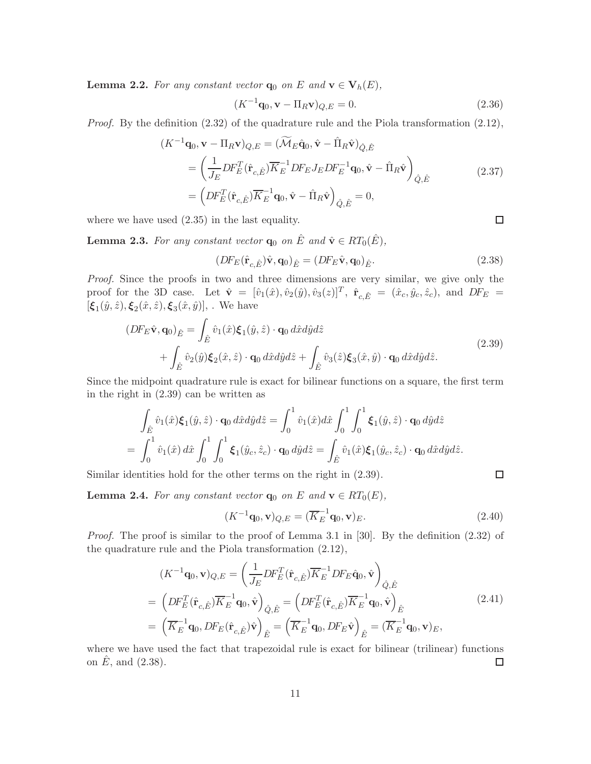**Lemma 2.2.** For any constant vector  $q_0$  on E and  $v \in V_h(E)$ ,

$$
(K^{-1}\mathbf{q}_0, \mathbf{v} - \Pi_R \mathbf{v})_{Q,E} = 0.
$$
\n(2.36)

*Proof.* By the definition (2.32) of the quadrature rule and the Piola transformation (2.12),

$$
(K^{-1}\mathbf{q}_0, \mathbf{v} - \Pi_R \mathbf{v})_{Q,E} = (\widetilde{\mathcal{M}}_E \hat{\mathbf{q}}_0, \hat{\mathbf{v}} - \hat{\Pi}_R \hat{\mathbf{v}})_{\hat{Q},\hat{E}}
$$
  
\n
$$
= \left(\frac{1}{J_E} DF_E^T(\hat{\mathbf{r}}_{c,\hat{E}}) \overline{K}_E^{-1} DF_E J_E DF_E^{-1} \mathbf{q}_0, \hat{\mathbf{v}} - \hat{\Pi}_R \hat{\mathbf{v}}\right)_{\hat{Q},\hat{E}}
$$
(2.37)  
\n
$$
= \left(DF_E^T(\hat{\mathbf{r}}_{c,\hat{E}}) \overline{K}_E^{-1} \mathbf{q}_0, \hat{\mathbf{v}} - \hat{\Pi}_R \hat{\mathbf{v}}\right)_{\hat{Q},\hat{E}} = 0,
$$

where we have used (2.35) in the last equality.

**Lemma 2.3.** For any constant vector  $\mathbf{q}_0$  on  $\hat{E}$  and  $\hat{\mathbf{v}} \in RT_0(\hat{E})$ ,

$$
(DF_E(\hat{\mathbf{r}}_{c,\hat{E}})\hat{\mathbf{v}},\mathbf{q}_0)_{\hat{E}} = (DF_E\hat{\mathbf{v}},\mathbf{q}_0)_{\hat{E}}.
$$
\n(2.38)

*Proof.* Since the proofs in two and three dimensions are very similar, we give only the proof for the 3D case. Let  $\hat{\mathbf{v}} = [\hat{v}_1(\hat{x}), \hat{v}_2(\hat{y}), \hat{v}_3(z)]^T$ ,  $\hat{\mathbf{r}}_{c,\hat{E}} = (\hat{x}_c, \hat{y}_c, \hat{z}_c)$ , and  $DF_E =$  $[\xi_1(\hat{y}, \hat{z}), \xi_2(\hat{x}, \hat{z}), \xi_3(\hat{x}, \hat{y})],$ . We have

$$
(DF_E \hat{\mathbf{v}}, \mathbf{q}_0)_{\hat{E}} = \int_{\hat{E}} \hat{v}_1(\hat{x}) \boldsymbol{\xi}_1(\hat{y}, \hat{z}) \cdot \mathbf{q}_0 d\hat{x} d\hat{y} d\hat{z} + \int_{\hat{E}} \hat{v}_2(\hat{y}) \boldsymbol{\xi}_2(\hat{x}, \hat{z}) \cdot \mathbf{q}_0 d\hat{x} d\hat{y} d\hat{z} + \int_{\hat{E}} \hat{v}_3(\hat{z}) \boldsymbol{\xi}_3(\hat{x}, \hat{y}) \cdot \mathbf{q}_0 d\hat{x} d\hat{y} d\hat{z}.
$$
\n(2.39)

Since the midpoint quadrature rule is exact for bilinear functions on a square, the first term in the right in (2.39) can be written as

$$
\int_{\hat{E}} \hat{v}_1(\hat{x}) \xi_1(\hat{y}, \hat{z}) \cdot \mathbf{q}_0 \, d\hat{x} d\hat{y} d\hat{z} = \int_0^1 \hat{v}_1(\hat{x}) d\hat{x} \int_0^1 \int_0^1 \xi_1(\hat{y}, \hat{z}) \cdot \mathbf{q}_0 \, d\hat{y} d\hat{z} \n= \int_0^1 \hat{v}_1(\hat{x}) \, d\hat{x} \int_0^1 \int_0^1 \xi_1(\hat{y}_c, \hat{z}_c) \cdot \mathbf{q}_0 \, d\hat{y} d\hat{z} = \int_{\hat{E}} \hat{v}_1(\hat{x}) \xi_1(\hat{y}_c, \hat{z}_c) \cdot \mathbf{q}_0 \, d\hat{x} d\hat{y} d\hat{z}.
$$

Similar identities hold for the other terms on the right in (2.39).

**Lemma 2.4.** *For any constant vector*  $\mathbf{q}_0$  *on E and*  $\mathbf{v} \in RT_0(E)$ *,* 

$$
(K^{-1}\mathbf{q}_0, \mathbf{v})_{Q,E} = (\overline{K}_E^{-1}\mathbf{q}_0, \mathbf{v})_E.
$$
\n(2.40)

*Proof.* The proof is similar to the proof of Lemma 3.1 in [30]. By the definition  $(2.32)$  of the quadrature rule and the Piola transformation (2.12),

$$
(K^{-1}\mathbf{q}_{0},\mathbf{v})_{Q,E} = \left(\frac{1}{J_{E}}DF_{E}^{T}(\hat{\mathbf{r}}_{c,\hat{E}})\overline{K}_{E}^{-1}DF_{E}\hat{\mathbf{q}}_{0},\hat{\mathbf{v}}\right)_{\hat{Q},\hat{E}}
$$
  
\n
$$
= \left(DF_{E}^{T}(\hat{\mathbf{r}}_{c,\hat{E}})\overline{K}_{E}^{-1}\mathbf{q}_{0},\hat{\mathbf{v}}\right)_{\hat{Q},\hat{E}} = \left(DF_{E}^{T}(\hat{\mathbf{r}}_{c,\hat{E}})\overline{K}_{E}^{-1}\mathbf{q}_{0},\hat{\mathbf{v}}\right)_{\hat{E}}
$$
  
\n
$$
= \left(\overline{K}_{E}^{-1}\mathbf{q}_{0},DF_{E}(\hat{\mathbf{r}}_{c,\hat{E}})\hat{\mathbf{v}}\right)_{\hat{E}} = \left(\overline{K}_{E}^{-1}\mathbf{q}_{0},DF_{E}\hat{\mathbf{v}}\right)_{\hat{E}} = \left(\overline{K}_{E}^{-1}\mathbf{q}_{0},\mathbf{v}\right)_{E},
$$
\n(2.41)

where we have used the fact that trapezoidal rule is exact for bilinear (trilinear) functions on  $E$ , and  $(2.38)$ .  $\Box$ 

$$
\Box
$$

 $\Box$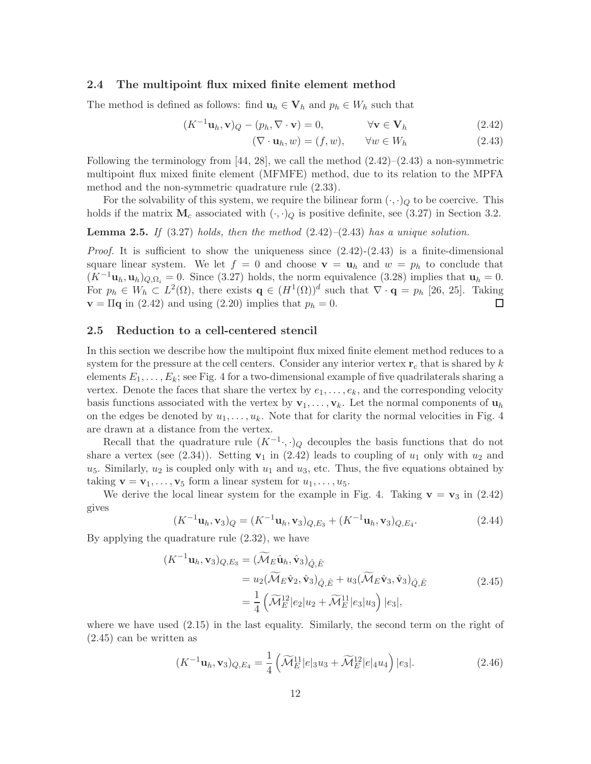## 2.4 The multipoint flux mixed finite element method

The method is defined as follows: find  $\mathbf{u}_h \in \mathbf{V}_h$  and  $p_h \in W_h$  such that

$$
(K^{-1}\mathbf{u}_h, \mathbf{v})_Q - (p_h, \nabla \cdot \mathbf{v}) = 0, \qquad \forall \mathbf{v} \in \mathbf{V}_h \tag{2.42}
$$

$$
(\nabla \cdot \mathbf{u}_h, w) = (f, w), \qquad \forall w \in W_h \tag{2.43}
$$

Following the terminology from  $[44, 28]$ , we call the method  $(2.42)$ – $(2.43)$  a non-symmetric multipoint flux mixed finite element (MFMFE) method, due to its relation to the MPFA method and the non-symmetric quadrature rule (2.33).

For the solvability of this system, we require the bilinear form  $(\cdot, \cdot)_Q$  to be coercive. This holds if the matrix  $M_c$  associated with  $(\cdot, \cdot)_Q$  is positive definite, see (3.27) in Section 3.2.

Lemma 2.5. *If* (3.27) *holds, then the method* (2.42)*–*(2.43) *has a unique solution.*

*Proof.* It is sufficient to show the uniqueness since  $(2.42)-(2.43)$  is a finite-dimensional square linear system. We let  $f = 0$  and choose  $\mathbf{v} = \mathbf{u}_h$  and  $w = p_h$  to conclude that  $(K^{-1}\mathbf{u}_h, \mathbf{u}_h)_{Q,\Omega_i} = 0$ . Since (3.27) holds, the norm equivalence (3.28) implies that  $\mathbf{u}_h = 0$ . For  $p_h \in W_h \subset L^2(\Omega)$ , there exists  $\mathbf{q} \in (H^1(\Omega))^d$  such that  $\nabla \cdot \mathbf{q} = p_h$  [26, 25]. Taking  $\mathbf{v} = \Pi \mathbf{q}$  in (2.42) and using (2.20) implies that  $p_h = 0$ .  $\Box$ 

#### 2.5 Reduction to a cell-centered stencil

In this section we describe how the multipoint flux mixed finite element method reduces to a system for the pressure at the cell centers. Consider any interior vertex  $\mathbf{r}_c$  that is shared by k elements  $E_1, \ldots, E_k$ ; see Fig. 4 for a two-dimensional example of five quadrilaterals sharing a vertex. Denote the faces that share the vertex by  $e_1, \ldots, e_k$ , and the corresponding velocity basis functions associated with the vertex by  $\mathbf{v}_1, \ldots, \mathbf{v}_k$ . Let the normal components of  $\mathbf{u}_h$ on the edges be denoted by  $u_1, \ldots, u_k$ . Note that for clarity the normal velocities in Fig. 4 are drawn at a distance from the vertex.

Recall that the quadrature rule  $(K^{-1} \cdot, \cdot)_Q$  decouples the basis functions that do not share a vertex (see  $(2.34)$ ). Setting  $v_1$  in  $(2.42)$  leads to coupling of  $u_1$  only with  $u_2$  and  $u_5$ . Similarly,  $u_2$  is coupled only with  $u_1$  and  $u_3$ , etc. Thus, the five equations obtained by taking  $\mathbf{v} = \mathbf{v}_1, \dots, \mathbf{v}_5$  form a linear system for  $u_1, \dots, u_5$ .

We derive the local linear system for the example in Fig. 4. Taking  $\mathbf{v} = \mathbf{v}_3$  in (2.42) gives

$$
(K^{-1}\mathbf{u}_h, \mathbf{v}_3)_Q = (K^{-1}\mathbf{u}_h, \mathbf{v}_3)_{Q,E_3} + (K^{-1}\mathbf{u}_h, \mathbf{v}_3)_{Q,E_4}.\tag{2.44}
$$

By applying the quadrature rule (2.32), we have

$$
(K^{-1}\mathbf{u}_h, \mathbf{v}_3)_{Q,E_3} = (\widetilde{\mathcal{M}}_E \hat{\mathbf{u}}_h, \hat{\mathbf{v}}_3)_{\hat{Q}, \hat{E}}
$$
  
=  $u_2(\widetilde{\mathcal{M}}_E \hat{\mathbf{v}}_2, \hat{\mathbf{v}}_3)_{\hat{Q}, \hat{E}} + u_3(\widetilde{\mathcal{M}}_E \hat{\mathbf{v}}_3, \hat{\mathbf{v}}_3)_{\hat{Q}, \hat{E}}$   
=  $\frac{1}{4} (\widetilde{\mathcal{M}}_E^{12} |e_2| u_2 + \widetilde{\mathcal{M}}_E^{11} |e_3| u_3) |e_3|,$  (2.45)

where we have used  $(2.15)$  in the last equality. Similarly, the second term on the right of (2.45) can be written as

$$
(K^{-1}\mathbf{u}_h, \mathbf{v}_3)_{Q, E_4} = \frac{1}{4} \left( \widetilde{\mathcal{M}}_E^{11} |e|_3 u_3 + \widetilde{\mathcal{M}}_E^{12} |e|_4 u_4 \right) |e_3|.
$$
 (2.46)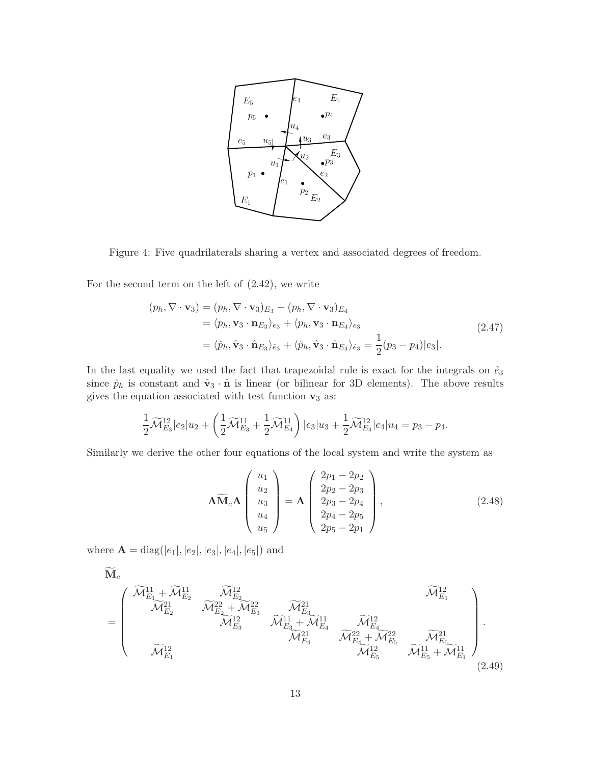

Figure 4: Five quadrilaterals sharing a vertex and associated degrees of freedom.

For the second term on the left of (2.42), we write

$$
(p_h, \nabla \cdot \mathbf{v}_3) = (p_h, \nabla \cdot \mathbf{v}_3)_{E_3} + (p_h, \nabla \cdot \mathbf{v}_3)_{E_4}
$$
  
\n
$$
= \langle p_h, \mathbf{v}_3 \cdot \mathbf{n}_{E_3} \rangle_{e_3} + \langle p_h, \mathbf{v}_3 \cdot \mathbf{n}_{E_4} \rangle_{e_3}
$$
  
\n
$$
= \langle \hat{p}_h, \hat{\mathbf{v}}_3 \cdot \hat{\mathbf{n}}_{E_3} \rangle_{\hat{e}_3} + \langle \hat{p}_h, \hat{\mathbf{v}}_3 \cdot \hat{\mathbf{n}}_{E_4} \rangle_{\hat{e}_3} = \frac{1}{2} (p_3 - p_4) |e_3|.
$$
 (2.47)

In the last equality we used the fact that trapezoidal rule is exact for the integrals on  $\hat{e}_3$ since  $\hat{p}_h$  is constant and  $\hat{\mathbf{v}}_3 \cdot \hat{\mathbf{n}}$  is linear (or bilinear for 3D elements). The above results gives the equation associated with test function  $\mathbf{v}_3$  as:

$$
\frac{1}{2}\widetilde{\mathcal{M}}_{E_3}^{12}|e_2|u_2+\left(\frac{1}{2}\widetilde{\mathcal{M}}_{E_3}^{11}+\frac{1}{2}\widetilde{\mathcal{M}}_{E_4}^{11}\right)|e_3|u_3+\frac{1}{2}\widetilde{\mathcal{M}}_{E_4}^{12}|e_4|u_4=p_3-p_4.
$$

Similarly we derive the other four equations of the local system and write the system as

$$
\widetilde{\mathbf{AM}}_{c}\mathbf{A}\begin{pmatrix} u_{1} \\ u_{2} \\ u_{3} \\ u_{4} \\ u_{5} \end{pmatrix} = \mathbf{A}\begin{pmatrix} 2p_{1} - 2p_{2} \\ 2p_{2} - 2p_{3} \\ 2p_{3} - 2p_{4} \\ 2p_{4} - 2p_{5} \\ 2p_{5} - 2p_{1} \end{pmatrix},
$$
\n(2.48)

where  $\mathbf{A} = \text{diag}(|e_1|, |e_2|, |e_3|, |e_4|, |e_5|)$  and

$$
\mathbf{M}_{c} = \begin{pmatrix}\n\widetilde{\mathcal{M}}_{E_{1}}^{11} + \widetilde{\mathcal{M}}_{E_{2}}^{11} & \widetilde{\mathcal{M}}_{E_{2}}^{12} & \widetilde{\mathcal{M}}_{E_{3}}^{22} & \widetilde{\mathcal{M}}_{E_{3}}^{21} & \widetilde{\mathcal{M}}_{E_{4}}^{21} \\
& \widetilde{\mathcal{M}}_{E_{2}}^{21} & \widetilde{\mathcal{M}}_{E_{3}}^{22} & \widetilde{\mathcal{M}}_{E_{3}}^{21} & \widetilde{\mathcal{M}}_{E_{4}}^{21} & \widetilde{\mathcal{M}}_{E_{4}}^{22} \\
& \widetilde{\mathcal{M}}_{E_{1}}^{12} & \widetilde{\mathcal{M}}_{E_{4}}^{21} & \widetilde{\mathcal{M}}_{E_{4}}^{22} + \widetilde{\mathcal{M}}_{E_{5}}^{22} & \widetilde{\mathcal{M}}_{E_{5}}^{21} \\
& \widetilde{\mathcal{M}}_{E_{1}}^{12} & \widetilde{\mathcal{M}}_{E_{5}}^{22} + \widetilde{\mathcal{M}}_{E_{5}}^{22} & \widetilde{\mathcal{M}}_{E_{5}}^{21} + \widetilde{\mathcal{M}}_{E_{1}}^{11}\n\end{pmatrix} .
$$
\n(2.49)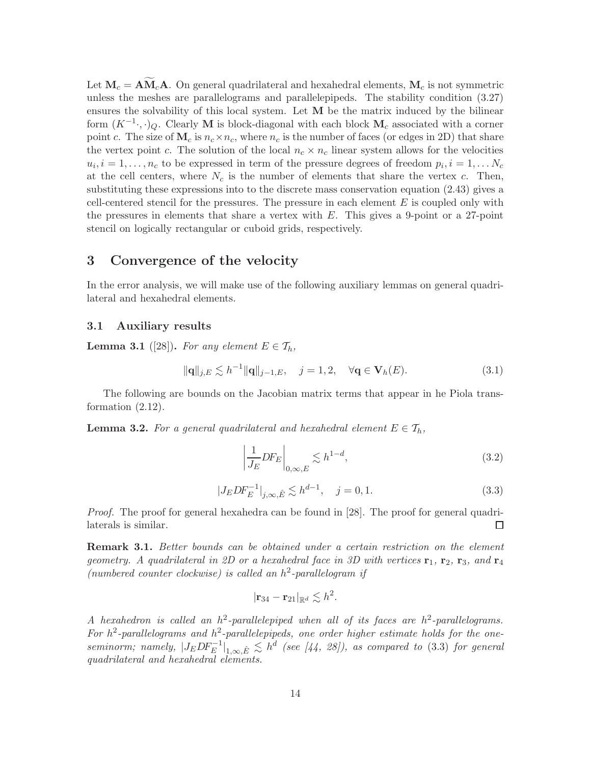Let  $\mathbf{M}_c = \mathbf{A}\widetilde{\mathbf{M}}_c\mathbf{A}$ . On general quadrilateral and hexahedral elements,  $\mathbf{M}_c$  is not symmetric unless the meshes are parallelograms and parallelepipeds. The stability condition (3.27) ensures the solvability of this local system. Let  $M$  be the matrix induced by the bilinear form  $(K^{-1} \cdot, \cdot)_Q$ . Clearly M is block-diagonal with each block  $M_c$  associated with a corner point c. The size of  $M_c$  is  $n_c \times n_c$ , where  $n_c$  is the number of faces (or edges in 2D) that share the vertex point c. The solution of the local  $n_c \times n_c$  linear system allows for the velocities  $u_i, i = 1, \ldots, n_c$  to be expressed in term of the pressure degrees of freedom  $p_i, i = 1, \ldots N_c$ at the cell centers, where  $N_c$  is the number of elements that share the vertex c. Then, substituting these expressions into to the discrete mass conservation equation (2.43) gives a cell-centered stencil for the pressures. The pressure in each element  $E$  is coupled only with the pressures in elements that share a vertex with  $E$ . This gives a 9-point or a 27-point stencil on logically rectangular or cuboid grids, respectively.

# 3 Convergence of the velocity

In the error analysis, we will make use of the following auxiliary lemmas on general quadrilateral and hexahedral elements.

## 3.1 Auxiliary results

**Lemma 3.1** ([28]). For any element  $E \in \mathcal{T}_h$ ,

$$
\|\mathbf{q}\|_{j,E} \lesssim h^{-1} \|\mathbf{q}\|_{j-1,E}, \quad j=1,2, \quad \forall \mathbf{q} \in \mathbf{V}_h(E). \tag{3.1}
$$

The following are bounds on the Jacobian matrix terms that appear in he Piola transformation (2.12).

**Lemma 3.2.** For a general quadrilateral and hexahedral element  $E \in \mathcal{T}_h$ ,

$$
\left| \frac{1}{J_E} DF_E \right|_{0,\infty,E} \lesssim h^{1-d},\tag{3.2}
$$

$$
|J_E D F_E^{-1}|_{j,\infty,\hat{E}} \lesssim h^{d-1}, \quad j = 0, 1.
$$
 (3.3)

*Proof.* The proof for general hexahedra can be found in [28]. The proof for general quadrilaterals is similar.  $\Box$ 

Remark 3.1. *Better bounds can be obtained under a certain restriction on the element geometry.* A quadrilateral in 2D or a hexahedral face in 3D with vertices  $\mathbf{r}_1$ ,  $\mathbf{r}_2$ ,  $\mathbf{r}_3$ , and  $\mathbf{r}_4$ *(numbered counter clockwise) is called an* h 2 *-parallelogram if*

$$
|\mathbf{r}_{34}-\mathbf{r}_{21}|_{\mathbb{R}^d}\lesssim h^2.
$$

*A hexahedron is called an* h 2 *-parallelepiped when all of its faces are* h 2 *-parallelograms.* For  $h^2$ -parallelograms and  $h^2$ -parallelepipeds, one order higher estimate holds for the one $seminorm; \; namely, \; |J_EDF_E^{-1}|_{1,\infty,\hat{E}} \lesssim h^d \; \; (see \; [44, \; 28]), \; as \; compared \; to \; (3.3) \; for \; general$ *quadrilateral and hexahedral elements.*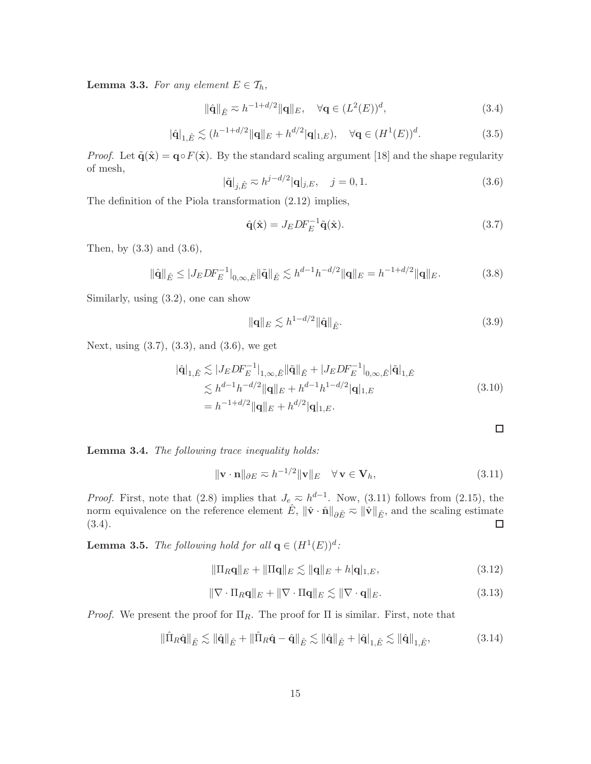**Lemma 3.3.** *For any element*  $E \in \mathcal{T}_h$ ,

 $\|\hat{\mathbf{q}}\|_{\hat{E}} \approx h^{-1+d/2} \|\mathbf{q}\|_{E}, \quad \forall \mathbf{q} \in (L^2(E))^d$  $(3.4)$ 

$$
|\hat{\mathbf{q}}|_{1,\hat{E}} \lesssim (h^{-1+d/2} \|\mathbf{q}\|_{E} + h^{d/2} |\mathbf{q}|_{1,E}), \quad \forall \mathbf{q} \in (H^1(E))^d.
$$
 (3.5)

*Proof.* Let  $\tilde{\mathbf{q}}(\hat{\mathbf{x}}) = \mathbf{q} \circ F(\hat{\mathbf{x}})$ . By the standard scaling argument [18] and the shape regularity of mesh,

$$
|\tilde{\mathbf{q}}|_{j,\hat{E}} \sim h^{j-d/2} |\mathbf{q}|_{j,E}, \quad j = 0, 1.
$$
\n(3.6)

The definition of the Piola transformation (2.12) implies,

$$
\hat{\mathbf{q}}(\hat{\mathbf{x}}) = J_E D F_E^{-1} \tilde{\mathbf{q}}(\hat{\mathbf{x}}).
$$
\n(3.7)

Then, by (3.3) and (3.6),

$$
\|\hat{\mathbf{q}}\|_{\hat{E}} \le |J_E D F_E^{-1}|_{0,\infty,\hat{E}} \|\tilde{\mathbf{q}}\|_{\hat{E}} \lesssim h^{d-1} h^{-d/2} \|\mathbf{q}\|_E = h^{-1+d/2} \|\mathbf{q}\|_E. \tag{3.8}
$$

Similarly, using (3.2), one can show

$$
\|\mathbf{q}\|_{E} \lesssim h^{1-d/2} \|\hat{\mathbf{q}}\|_{\hat{E}}.\tag{3.9}
$$

Next, using (3.7), (3.3), and (3.6), we get

$$
\begin{split} |\hat{\mathbf{q}}|_{1,\hat{E}} &\lesssim |J_E D F_E^{-1}|_{1,\infty,\hat{E}} ||\tilde{\mathbf{q}}||_{\hat{E}} + |J_E D F_E^{-1}|_{0,\infty,\hat{E}} |\tilde{\mathbf{q}}|_{1,\hat{E}} \\ &\lesssim h^{d-1} h^{-d/2} ||\mathbf{q}||_E + h^{d-1} h^{1-d/2} |\mathbf{q}|_{1,E} \\ &= h^{-1+d/2} ||\mathbf{q}||_E + h^{d/2} |\mathbf{q}|_{1,E} . \end{split} \tag{3.10}
$$

Lemma 3.4. *The following trace inequality holds:*

$$
\|\mathbf{v} \cdot \mathbf{n}\|_{\partial E} \approx h^{-1/2} \|\mathbf{v}\|_E \quad \forall \mathbf{v} \in \mathbf{V}_h,
$$
\n(3.11)

*Proof.* First, note that (2.8) implies that  $J_e \nightharpoonup h^{d-1}$ . Now, (3.11) follows from (2.15), the norm equivalence on the reference element  $\hat{E}$ ,  $\|\hat{\mathbf{v}} \cdot \hat{\mathbf{n}}\|_{\partial \hat{E}} \approx \|\hat{\mathbf{v}}\|_{\hat{E}}$ , and the scaling estimate (3.4). (3.4).

**Lemma 3.5.** *The following hold for all*  $q \in (H^1(E))^d$ :

$$
\|\Pi_R \mathbf{q}\|_E + \|\Pi \mathbf{q}\|_E \lesssim \|\mathbf{q}\|_E + h|\mathbf{q}|_{1,E},\tag{3.12}
$$

$$
\|\nabla \cdot \Pi_R \mathbf{q}\|_E + \|\nabla \cdot \Pi \mathbf{q}\|_E \lesssim \|\nabla \cdot \mathbf{q}\|_E. \tag{3.13}
$$

*Proof.* We present the proof for  $\Pi_R$ . The proof for  $\Pi$  is similar. First, note that

$$
\|\hat{\Pi}_{R}\hat{\mathbf{q}}\|_{\hat{E}} \lesssim \|\hat{\mathbf{q}}\|_{\hat{E}} + \|\hat{\Pi}_{R}\hat{\mathbf{q}} - \hat{\mathbf{q}}\|_{\hat{E}} \lesssim \|\hat{\mathbf{q}}\|_{\hat{E}} + \|\hat{\mathbf{q}}\|_{1,\hat{E}} \lesssim \|\hat{\mathbf{q}}\|_{1,\hat{E}},
$$
\n(3.14)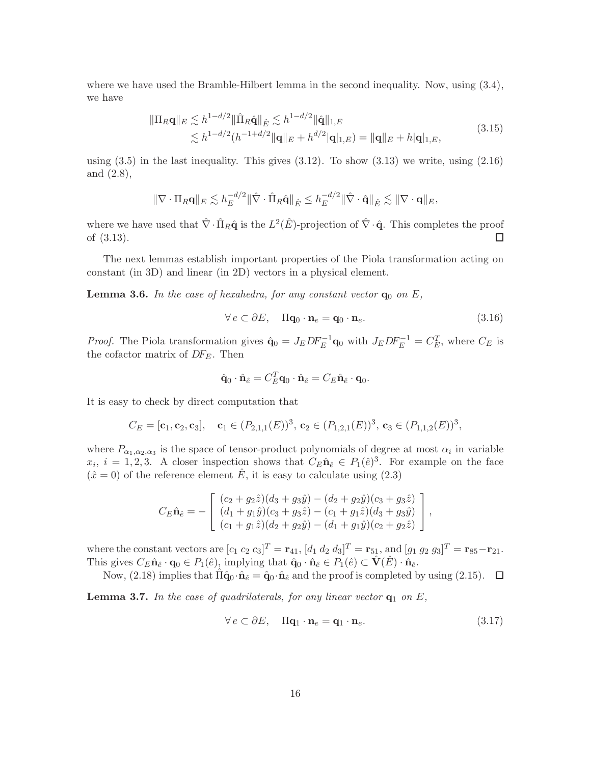where we have used the Bramble-Hilbert lemma in the second inequality. Now, using  $(3.4)$ , we have

$$
\|\Pi_R \mathbf{q}\|_E \lesssim h^{1-d/2} \|\hat{\Pi}_R \hat{\mathbf{q}}\|_{\hat{E}} \lesssim h^{1-d/2} \|\hat{\mathbf{q}}\|_{1,E}
$$
  

$$
\lesssim h^{1-d/2} (h^{-1+d/2} \|\mathbf{q}\|_E + h^{d/2} |\mathbf{q}|_{1,E}) = \|\mathbf{q}\|_E + h|\mathbf{q}|_{1,E},
$$
 (3.15)

using  $(3.5)$  in the last inequality. This gives  $(3.12)$ . To show  $(3.13)$  we write, using  $(2.16)$ and (2.8),

$$
\|\nabla \cdot \Pi_R \mathbf{q}\|_E \lesssim h_E^{-d/2} \|\hat{\nabla} \cdot \hat{\Pi}_R \hat{\mathbf{q}}\|_{\hat{E}} \le h_E^{-d/2} \|\hat{\nabla} \cdot \hat{\mathbf{q}}\|_{\hat{E}} \lesssim \|\nabla \cdot \mathbf{q}\|_E,
$$

where we have used that  $\hat{\nabla} \cdot \hat{\Pi}_R \hat{\mathbf{q}}$  is the  $L^2(\hat{E})$ -projection of  $\hat{\nabla} \cdot \hat{\mathbf{q}}$ . This completes the proof of (3.13).  $\Box$ 

The next lemmas establish important properties of the Piola transformation acting on constant (in 3D) and linear (in 2D) vectors in a physical element.

**Lemma 3.6.** In the case of hexahedra, for any constant vector  $q_0$  on E,

$$
\forall e \subset \partial E, \quad \Pi \mathbf{q}_0 \cdot \mathbf{n}_e = \mathbf{q}_0 \cdot \mathbf{n}_e. \tag{3.16}
$$

*Proof.* The Piola transformation gives  $\hat{\mathbf{q}}_0 = J_E D F_E^{-1} \mathbf{q}_0$  with  $J_E D F_E^{-1} = C_E^T$ , where  $C_E$  is the cofactor matrix of  $DF_E$ . Then

$$
\hat{\mathbf{q}}_0 \cdot \hat{\mathbf{n}}_{\hat{e}} = C_E^T \mathbf{q}_0 \cdot \hat{\mathbf{n}}_{\hat{e}} = C_E \hat{\mathbf{n}}_{\hat{e}} \cdot \mathbf{q}_0.
$$

It is easy to check by direct computation that

$$
C_E = [\mathbf{c}_1, \mathbf{c}_2, \mathbf{c}_3], \quad \mathbf{c}_1 \in (P_{2,1,1}(E))^3, \, \mathbf{c}_2 \in (P_{1,2,1}(E))^3, \, \mathbf{c}_3 \in (P_{1,1,2}(E))^3,
$$

where  $P_{\alpha_1,\alpha_2,\alpha_3}$  is the space of tensor-product polynomials of degree at most  $\alpha_i$  in variable  $x_i$ ,  $i = 1, 2, 3$ . A closer inspection shows that  $C_E \hat{\mathbf{n}}_{\hat{e}} \in P_1(\hat{e})^3$ . For example on the face  $(\hat{x} = 0)$  of the reference element  $\hat{E}$ , it is easy to calculate using (2.3)

$$
C_E \hat{\mathbf{n}}_{\hat{e}} = -\begin{bmatrix} (c_2 + g_2 \hat{z})(d_3 + g_3 \hat{y}) - (d_2 + g_2 \hat{y})(c_3 + g_3 \hat{z}) \\ (d_1 + g_1 \hat{y})(c_3 + g_3 \hat{z}) - (c_1 + g_1 \hat{z})(d_3 + g_3 \hat{y}) \\ (c_1 + g_1 \hat{z})(d_2 + g_2 \hat{y}) - (d_1 + g_1 \hat{y})(c_2 + g_2 \hat{z}) \end{bmatrix},
$$

where the constant vectors are  $[c_1 c_2 c_3]^T = \mathbf{r}_{41}$ ,  $[d_1 d_2 d_3]^T = \mathbf{r}_{51}$ , and  $[g_1 g_2 g_3]^T = \mathbf{r}_{85}-\mathbf{r}_{21}$ . This gives  $C_E\hat{\mathbf{n}}_{\hat{e}}\cdot\mathbf{q}_0 \in P_1(\hat{e}),$  implying that  $\hat{\mathbf{q}}_0\cdot\hat{\mathbf{n}}_{\hat{e}}\in P_1(\hat{e})\subset \hat{\mathbf{V}}(\hat{E})\cdot\hat{\mathbf{n}}_{\hat{e}}.$ 

Now, (2.18) implies that  $\Pi \hat{\mathbf{q}}_0 \cdot \hat{\mathbf{n}}_{\hat{e}} = \hat{\mathbf{q}}_0 \cdot \hat{\mathbf{n}}_{\hat{e}}$  and the proof is completed by using (2.15).  $\Box$ 

**Lemma 3.7.** In the case of quadrilaterals, for any linear vector  $q_1$  on  $E$ ,

$$
\forall e \subset \partial E, \quad \Pi \mathbf{q}_1 \cdot \mathbf{n}_e = \mathbf{q}_1 \cdot \mathbf{n}_e. \tag{3.17}
$$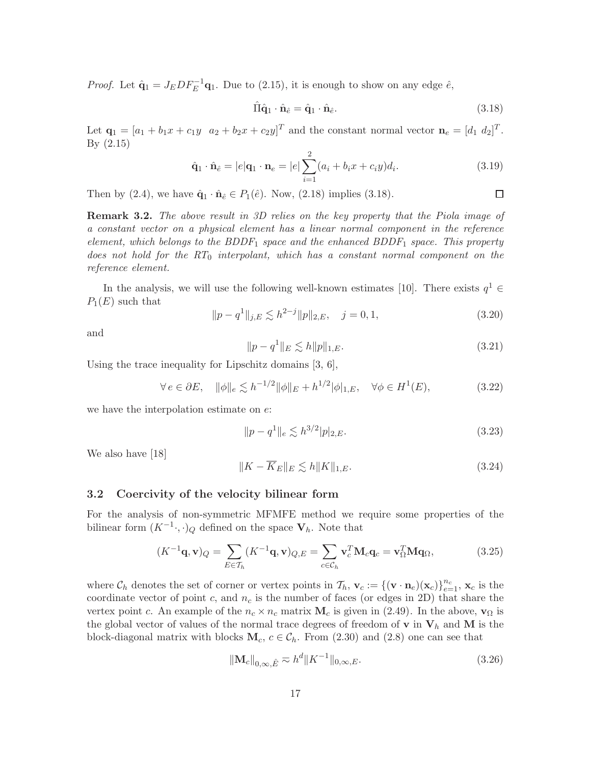*Proof.* Let  $\hat{\mathbf{q}}_1 = J_E D F_E^{-1} \mathbf{q}_1$ . Due to (2.15), it is enough to show on any edge  $\hat{e}$ ,

$$
\hat{\Pi}\hat{\mathbf{q}}_1 \cdot \hat{\mathbf{n}}_{\hat{e}} = \hat{\mathbf{q}}_1 \cdot \hat{\mathbf{n}}_{\hat{e}}.\tag{3.18}
$$

 $\Box$ 

Let  $\mathbf{q}_1 = [a_1 + b_1x + c_1y \ a_2 + b_2x + c_2y]^T$  and the constant normal vector  $\mathbf{n}_e = [d_1 \ d_2]^T$ . By (2.15)

$$
\hat{\mathbf{q}}_1 \cdot \hat{\mathbf{n}}_{\hat{e}} = |e| \mathbf{q}_1 \cdot \mathbf{n}_e = |e| \sum_{i=1}^2 (a_i + b_i x + c_i y) d_i.
$$
 (3.19)

Then by (2.4), we have  $\hat{\mathbf{q}}_1 \cdot \hat{\mathbf{n}}_{\hat{e}} \in P_1(\hat{e})$ . Now, (2.18) implies (3.18).

Remark 3.2. *The above result in 3D relies on the key property that the Piola image of a constant vector on a physical element has a linear normal component in the reference element, which belongs to the BDDF*<sup>1</sup> *space and the enhanced BDDF*<sup>1</sup> *space. This property does not hold for the RT*<sup>0</sup> *interpolant, which has a constant normal component on the reference element.*

In the analysis, we will use the following well-known estimates [10]. There exists  $q^1 \in$  $P_1(E)$  such that

$$
||p - q1||_{j,E} \lesssim h^{2-j} ||p||_{2,E}, \quad j = 0, 1,
$$
\n(3.20)

and

$$
||p - q1||E \lesssim h||p||1,E.
$$
\n(3.21)

Using the trace inequality for Lipschitz domains [3, 6],

$$
\forall e \in \partial E, \quad \|\phi\|_e \lesssim h^{-1/2} \|\phi\|_E + h^{1/2} |\phi|_{1,E}, \quad \forall \phi \in H^1(E), \tag{3.22}
$$

we have the interpolation estimate on e:

$$
||p - q1||e \lesssim h3/2|p|_{2,E}.
$$
\n(3.23)

We also have [18]

$$
||K - \overline{K}_E||_E \lesssim h||K||_{1,E}.
$$
\n(3.24)

### 3.2 Coercivity of the velocity bilinear form

For the analysis of non-symmetric MFMFE method we require some properties of the bilinear form  $(K^{-1} \cdot, \cdot)_Q$  defined on the space  $V_h$ . Note that

$$
(K^{-1}\mathbf{q}, \mathbf{v})_Q = \sum_{E \in \mathcal{T}_h} (K^{-1}\mathbf{q}, \mathbf{v})_{Q,E} = \sum_{c \in \mathcal{C}_h} \mathbf{v}_c^T \mathbf{M}_c \mathbf{q}_c = \mathbf{v}_\Omega^T \mathbf{M} \mathbf{q}_\Omega, \tag{3.25}
$$

where  $\mathcal{C}_h$  denotes the set of corner or vertex points in  $\mathcal{T}_h$ ,  $\mathbf{v}_c := \{(\mathbf{v} \cdot \mathbf{n}_e)(\mathbf{x}_c)\}_{e=1}^{n_c}$ ,  $\mathbf{x}_c$  is the coordinate vector of point c, and  $n_c$  is the number of faces (or edges in 2D) that share the vertex point c. An example of the  $n_c \times n_c$  matrix  $\mathbf{M}_c$  is given in (2.49). In the above,  $\mathbf{v}_\Omega$  is the global vector of values of the normal trace degrees of freedom of **v** in  $V_h$  and M is the block-diagonal matrix with blocks  $M_c$ ,  $c \in C_h$ . From (2.30) and (2.8) one can see that

$$
\|\mathbf{M}_c\|_{0,\infty,\hat{E}} \approx h^d \|K^{-1}\|_{0,\infty,E}.\tag{3.26}
$$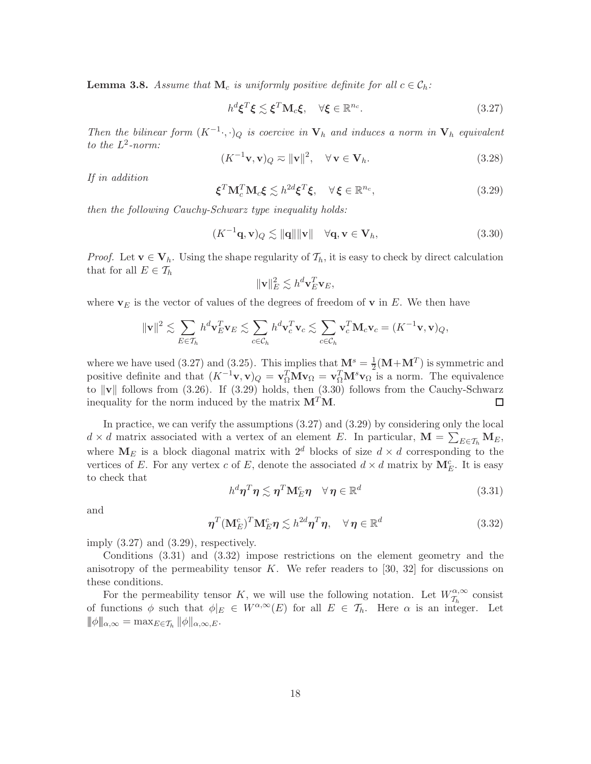**Lemma 3.8.** Assume that  $M_c$  is uniformly positive definite for all  $c \in C_h$ :

$$
h^{d}\boldsymbol{\xi}^{T}\boldsymbol{\xi} \lesssim \boldsymbol{\xi}^{T}\mathbf{M}_{c}\boldsymbol{\xi}, \quad \forall \boldsymbol{\xi} \in \mathbb{R}^{n_{c}}.
$$
\n(3.27)

*Then the bilinear form*  $(K^{-1} \cdot, \cdot)_{Q}$  *is coercive in*  $V_{h}$  *and induces a norm in*  $V_{h}$  *equivalent to the* L 2 *-norm:*

$$
(K^{-1}\mathbf{v}, \mathbf{v})_Q \approx \|\mathbf{v}\|^2, \quad \forall \,\mathbf{v} \in \mathbf{V}_h. \tag{3.28}
$$

*If in addition*

$$
\boldsymbol{\xi}^T \mathbf{M}_c^T \mathbf{M}_c \boldsymbol{\xi} \lesssim h^{2d} \boldsymbol{\xi}^T \boldsymbol{\xi}, \quad \forall \boldsymbol{\xi} \in \mathbb{R}^{n_c}, \tag{3.29}
$$

*then the following Cauchy-Schwarz type inequality holds:*

$$
(K^{-1}\mathbf{q}, \mathbf{v})_Q \lesssim \|\mathbf{q}\| \|\mathbf{v}\| \quad \forall \mathbf{q}, \mathbf{v} \in \mathbf{V}_h,
$$
\n(3.30)

*Proof.* Let  $\mathbf{v} \in \mathbf{V}_h$ . Using the shape regularity of  $\mathcal{T}_h$ , it is easy to check by direct calculation that for all  $E \in \mathcal{T}_h$ 

$$
\|\mathbf{v}\|_E^2 \lesssim h^d \mathbf{v}_E^T \mathbf{v}_E,
$$

where  $v_E$  is the vector of values of the degrees of freedom of v in E. We then have

$$
\|\mathbf{v}\|^2 \lesssim \sum_{E \in \mathcal{T}_h} h^d \mathbf{v}_E^T \mathbf{v}_E \lesssim \sum_{c \in \mathcal{C}_h} h^d \mathbf{v}_c^T \mathbf{v}_c \lesssim \sum_{c \in \mathcal{C}_h} \mathbf{v}_c^T \mathbf{M}_c \mathbf{v}_c = (K^{-1} \mathbf{v}, \mathbf{v})_Q,
$$

where we have used (3.27) and (3.25). This implies that  $\mathbf{M}^s = \frac{1}{2}$  $\frac{1}{2}(\mathbf{M} + \mathbf{M}^T)$  is symmetric and positive definite and that  $(K^{-1}\mathbf{v}, \mathbf{v})_Q = \mathbf{v}_\Omega^T \mathbf{M} \mathbf{v}_\Omega = \mathbf{v}_\Omega^T \mathbf{M}^s \mathbf{v}_\Omega$  is a norm. The equivalence to  $\|\mathbf{v}\|$  follows from (3.26). If (3.29) holds, then (3.30) follows from the Cauchy-Schwarz inequality for the norm induced by the matrix  $M<sup>T</sup>M$ .  $\Box$ 

In practice, we can verify the assumptions (3.27) and (3.29) by considering only the local  $d \times d$  matrix associated with a vertex of an element E. In particular,  $\mathbf{M} = \sum_{E \in \mathcal{T}_h} \mathbf{M}_E$ , where  $M_E$  is a block diagonal matrix with  $2^d$  blocks of size  $d \times d$  corresponding to the vertices of E. For any vertex c of E, denote the associated  $d \times d$  matrix by  $\mathbf{M}_{E}^{c}$ . It is easy to check that

$$
h^d \eta^T \eta \lesssim \eta^T \mathbf{M}_E^c \eta \quad \forall \, \eta \in \mathbb{R}^d \tag{3.31}
$$

and

$$
\boldsymbol{\eta}^T (\mathbf{M}_{E}^c)^T \mathbf{M}_{E}^c \boldsymbol{\eta} \lesssim h^{2d} \boldsymbol{\eta}^T \boldsymbol{\eta}, \quad \forall \, \boldsymbol{\eta} \in \mathbb{R}^d \tag{3.32}
$$

imply (3.27) and (3.29), respectively.

Conditions (3.31) and (3.32) impose restrictions on the element geometry and the anisotropy of the permeability tensor  $K$ . We refer readers to [30, 32] for discussions on these conditions.

For the permeability tensor K, we will use the following notation. Let  $W_{\tau_k}^{\alpha,\infty}$  $\tau_h^{\alpha,\infty}$  consist of functions  $\phi$  such that  $\phi|_E \in W^{\alpha,\infty}(E)$  for all  $E \in \mathcal{T}_h$ . Here  $\alpha$  is an integer. Let  $|\|\phi\|_{\alpha,\infty} = \max_{E \in \mathcal{T}_h} ||\phi||_{\alpha,\infty,E}.$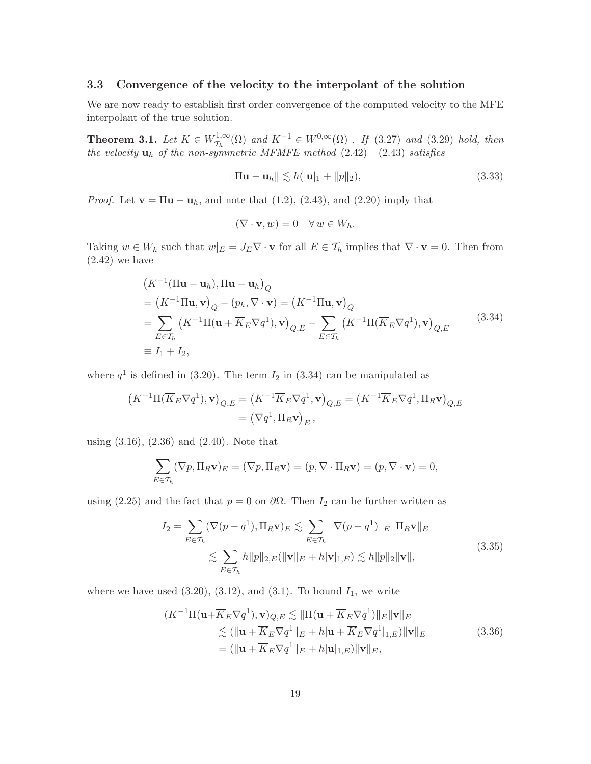## 3.3 Convergence of the velocity to the interpolant of the solution

We are now ready to establish first order convergence of the computed velocity to the MFE interpolant of the true solution.

**Theorem 3.1.** Let  $K \in W^{1,\infty}_{\mathcal{T}_k}$  $T_{T_h}^{1,\infty}$ (Ω) *and*  $K^{-1}$  ∈  $W^{0,\infty}$ (Ω) *. If* (3.27) *and* (3.29) *hold, then the velocity* u<sup>h</sup> *of the non-symmetric MFMFE method* (2.42)*—*(2.43) *satisfies*

$$
\|\Pi \mathbf{u} - \mathbf{u}_h\| \lesssim h(|\mathbf{u}|_1 + \|p\|_2),\tag{3.33}
$$

*Proof.* Let  $\mathbf{v} = \Pi \mathbf{u} - \mathbf{u}_h$ , and note that  $(1.2)$ ,  $(2.43)$ , and  $(2.20)$  imply that

$$
(\nabla \cdot \mathbf{v}, w) = 0 \quad \forall \, w \in W_h.
$$

Taking  $w \in W_h$  such that  $w|_E = J_E \nabla \cdot \mathbf{v}$  for all  $E \in \mathcal{T}_h$  implies that  $\nabla \cdot \mathbf{v} = 0$ . Then from  $(2.42)$  we have

$$
(K^{-1}(\Pi \mathbf{u} - \mathbf{u}_h), \Pi \mathbf{u} - \mathbf{u}_h)_Q
$$
  
=  $(K^{-1}\Pi \mathbf{u}, \mathbf{v})_Q - (p_h, \nabla \cdot \mathbf{v}) = (K^{-1}\Pi \mathbf{u}, \mathbf{v})_Q$   
=  $\sum_{E \in \mathcal{T}_h} (K^{-1}\Pi(\mathbf{u} + \overline{K}_E \nabla q^1), \mathbf{v})_{Q,E} - \sum_{E \in \mathcal{T}_h} (K^{-1}\Pi(\overline{K}_E \nabla q^1), \mathbf{v})_{Q,E}$  (3.34)  
 $\equiv I_1 + I_2,$ 

where  $q<sup>1</sup>$  is defined in (3.20). The term  $I_2$  in (3.34) can be manipulated as

$$
(K^{-1}\Pi(\overline{K}_E \nabla q^1), \mathbf{v})_{Q,E} = (K^{-1}\overline{K}_E \nabla q^1, \mathbf{v})_{Q,E} = (K^{-1}\overline{K}_E \nabla q^1, \Pi_R \mathbf{v})_{Q,E}
$$
  
=  $(\nabla q^1, \Pi_R \mathbf{v})_E$ ,

using (3.16), (2.36) and (2.40). Note that

$$
\sum_{E \in \mathcal{T}_h} (\nabla p, \Pi_R \mathbf{v})_E = (\nabla p, \Pi_R \mathbf{v}) = (p, \nabla \cdot \Pi_R \mathbf{v}) = (p, \nabla \cdot \mathbf{v}) = 0,
$$

using (2.25) and the fact that  $p = 0$  on  $\partial\Omega$ . Then  $I_2$  can be further written as

$$
I_2 = \sum_{E \in \mathcal{T}_h} (\nabla (p - q^1), \Pi_R \mathbf{v})_E \lesssim \sum_{E \in \mathcal{T}_h} \|\nabla (p - q^1)\|_E \|\Pi_R \mathbf{v}\|_E
$$
  

$$
\lesssim \sum_{E \in \mathcal{T}_h} h \|p\|_{2,E} (\|\mathbf{v}\|_E + h|\mathbf{v}|_{1,E}) \lesssim h \|p\|_2 \|\mathbf{v}\|,
$$
 (3.35)

where we have used  $(3.20)$ ,  $(3.12)$ , and  $(3.1)$ . To bound  $I_1$ , we write

$$
(K^{-1}\Pi(\mathbf{u} + \overline{K}_E \nabla q^1), \mathbf{v})_{Q,E} \lesssim \|\Pi(\mathbf{u} + \overline{K}_E \nabla q^1)\|_E \|\mathbf{v}\|_E
$$
  
\n
$$
\lesssim (\|\mathbf{u} + \overline{K}_E \nabla q^1\|_E + h|\mathbf{u} + \overline{K}_E \nabla q^1|_{1,E}) \|\mathbf{v}\|_E
$$
  
\n
$$
= (\|\mathbf{u} + \overline{K}_E \nabla q^1\|_E + h|\mathbf{u}|_{1,E}) \|\mathbf{v}\|_E, \tag{3.36}
$$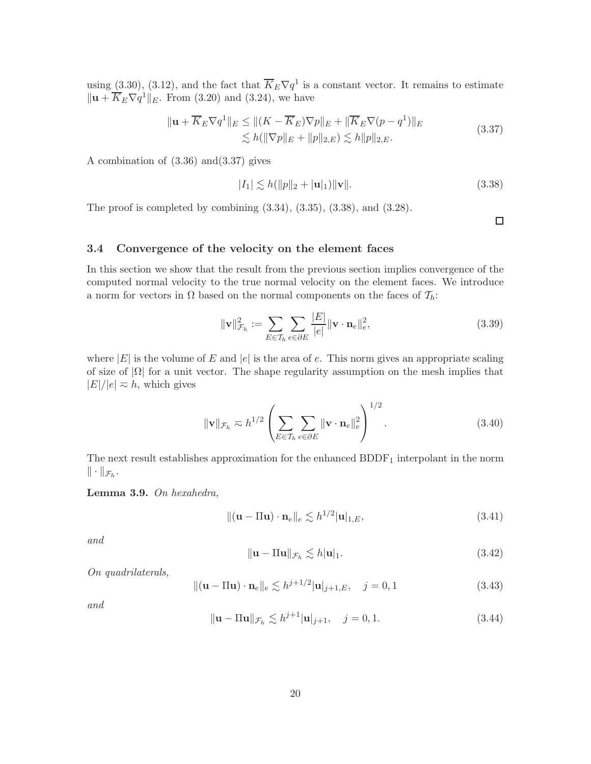using (3.30), (3.12), and the fact that  $\overline{K}_E \nabla q^1$  is a constant vector. It remains to estimate  $\|\mathbf{u} + \overline{K}_E \nabla q^1\|_E$ . From (3.20) and (3.24), we have

$$
\|\mathbf{u} + \overline{K}_E \nabla q^1\|_E \le \| (K - \overline{K}_E) \nabla p \|_E + \|\overline{K}_E \nabla (p - q^1) \|_E
$$
  
\$\le h(||\nabla p||\_E + ||p||\_{2,E}) \lesssim h||p||\_{2,E}.\n(3.37)

A combination of (3.36) and(3.37) gives

$$
|I_1| \lesssim h(||p||_2 + |\mathbf{u}|_1) \|\mathbf{v}\|.
$$
 (3.38)

The proof is completed by combining  $(3.34)$ ,  $(3.35)$ ,  $(3.38)$ , and  $(3.28)$ .

 $\Box$ 

## 3.4 Convergence of the velocity on the element faces

In this section we show that the result from the previous section implies convergence of the computed normal velocity to the true normal velocity on the element faces. We introduce a norm for vectors in  $\Omega$  based on the normal components on the faces of  $\mathcal{T}_h$ :

$$
\|\mathbf{v}\|_{\mathcal{F}_h}^2 := \sum_{E \in \mathcal{T}_h} \sum_{e \in \partial E} \frac{|E|}{|e|} \|\mathbf{v} \cdot \mathbf{n}_e\|_e^2, \tag{3.39}
$$

where  $|E|$  is the volume of E and  $|e|$  is the area of e. This norm gives an appropriate scaling of size of  $|\Omega|$  for a unit vector. The shape regularity assumption on the mesh implies that  $|E|/|e| \approx h$ , which gives

$$
\|\mathbf{v}\|_{\mathcal{F}_h} \approx h^{1/2} \left( \sum_{E \in \mathcal{T}_h} \sum_{e \in \partial E} \|\mathbf{v} \cdot \mathbf{n}_e\|_e^2 \right)^{1/2}.
$$
 (3.40)

The next result establishes approximation for the enhanced  $BDDF<sub>1</sub>$  interpolant in the norm  $\|\cdot\|_{\mathcal{F}_h}.$ 

Lemma 3.9. *On hexahedra,*

$$
\|(\mathbf{u} - \Pi \mathbf{u}) \cdot \mathbf{n}_e\|_e \lesssim h^{1/2} |\mathbf{u}|_{1,E},\tag{3.41}
$$

*and*

$$
\|\mathbf{u} - \Pi \mathbf{u}\|_{\mathcal{F}_h} \lesssim h|\mathbf{u}|_1. \tag{3.42}
$$

*On quadrilaterals,*

$$
\|(\mathbf{u} - \Pi \mathbf{u}) \cdot \mathbf{n}_e\|_e \lesssim h^{j+1/2} |\mathbf{u}|_{j+1,E}, \quad j = 0, 1
$$
 (3.43)

*and*

$$
\|\mathbf{u} - \Pi \mathbf{u}\|_{\mathcal{F}_h} \lesssim h^{j+1} |\mathbf{u}|_{j+1}, \quad j = 0, 1.
$$
 (3.44)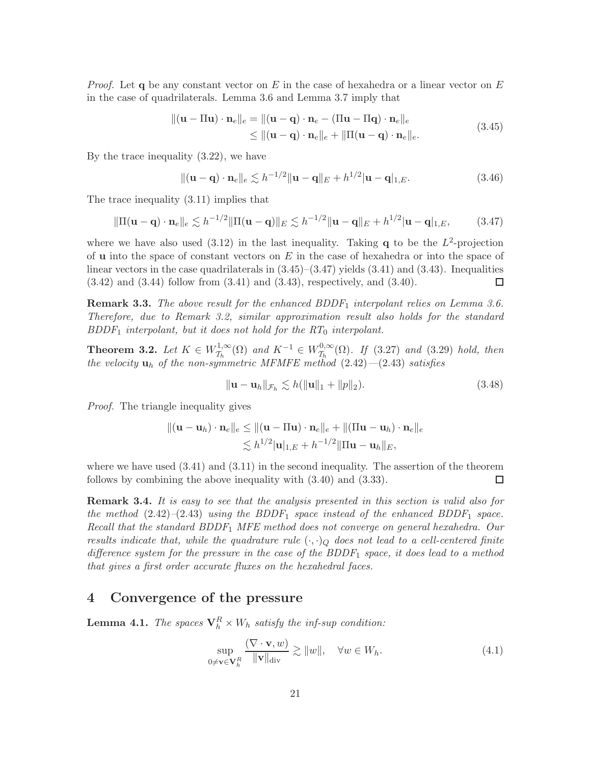*Proof.* Let q be any constant vector on E in the case of hexahedra or a linear vector on E in the case of quadrilaterals. Lemma 3.6 and Lemma 3.7 imply that

$$
\|(\mathbf{u} - \Pi \mathbf{u}) \cdot \mathbf{n}_e\|_e = \|(\mathbf{u} - \mathbf{q}) \cdot \mathbf{n}_e - (\Pi \mathbf{u} - \Pi \mathbf{q}) \cdot \mathbf{n}_e\|_e
$$
  
\n
$$
\leq \|(\mathbf{u} - \mathbf{q}) \cdot \mathbf{n}_e\|_e + \|\Pi (\mathbf{u} - \mathbf{q}) \cdot \mathbf{n}_e\|_e.
$$
\n(3.45)

By the trace inequality (3.22), we have

$$
\|(\mathbf{u}-\mathbf{q})\cdot\mathbf{n}_e\|_e \lesssim h^{-1/2} \|\mathbf{u}-\mathbf{q}\|_E + h^{1/2} |\mathbf{u}-\mathbf{q}|_{1,E}.\tag{3.46}
$$

The trace inequality (3.11) implies that

$$
\|\Pi(\mathbf{u}-\mathbf{q})\cdot\mathbf{n}_e\|_e \lesssim h^{-1/2} \|\Pi(\mathbf{u}-\mathbf{q})\|_E \lesssim h^{-1/2} \|\mathbf{u}-\mathbf{q}\|_E + h^{1/2} |\mathbf{u}-\mathbf{q}|_{1,E},\tag{3.47}
$$

where we have also used  $(3.12)$  in the last inequality. Taking **q** to be the  $L^2$ -projection of **u** into the space of constant vectors on  $E$  in the case of hexahedra or into the space of linear vectors in the case quadrilaterals in  $(3.45)$ – $(3.47)$  yields  $(3.41)$  and  $(3.43)$ . Inequalities  $(3.42)$  and  $(3.44)$  follow from  $(3.41)$  and  $(3.43)$ , respectively, and  $(3.40)$ .  $\Box$ 

Remark 3.3. *The above result for the enhanced BDDF*<sup>1</sup> *interpolant relies on Lemma 3.6. Therefore, due to Remark 3.2, similar approximation result also holds for the standard BDDF*<sup>1</sup> *interpolant, but it does not hold for the RT*<sup>0</sup> *interpolant.*

**Theorem 3.2.** Let  $K \in W^{1,\infty}_{\mathcal{T}_k}$  $T_h^{1,\infty}(\Omega)$  and  $K^{-1} \in W_{\mathcal{T}_h}^{0,\infty}$  $T_h^{0,\infty}(\Omega)$ *. If* (3.27) *and* (3.29) *hold, then the velocity* u<sup>h</sup> *of the non-symmetric MFMFE method* (2.42)*—*(2.43) *satisfies*

$$
\|\mathbf{u} - \mathbf{u}_h\|_{\mathcal{F}_h} \lesssim h(\|\mathbf{u}\|_1 + \|p\|_2). \tag{3.48}
$$

*Proof.* The triangle inequality gives

$$
\begin{aligned} ||(\mathbf{u}-\mathbf{u}_h)\cdot\mathbf{n}_e||_e &\leq ||(\mathbf{u}-\Pi\mathbf{u})\cdot\mathbf{n}_e||_e + ||(\Pi\mathbf{u}-\mathbf{u}_h)\cdot\mathbf{n}_e||_e \\ &\lesssim h^{1/2}|\mathbf{u}|_{1,E} + h^{-1/2}||\Pi\mathbf{u}-\mathbf{u}_h||_E, \end{aligned}
$$

where we have used  $(3.41)$  and  $(3.11)$  in the second inequality. The assertion of the theorem follows by combining the above inequality with (3.40) and (3.33). □

Remark 3.4. *It is easy to see that the analysis presented in this section is valid also for the method* (2.42)*–*(2.43) *using the BDDF*<sup>1</sup> *space instead of the enhanced BDDF*<sup>1</sup> *space. Recall that the standard BDDF*<sup>1</sup> *MFE method does not converge on general hexahedra. Our results indicate that, while the quadrature rule*  $(\cdot, \cdot)_Q$  *does not lead to a cell-centered finite difference system for the pressure in the case of the BDDF*<sup>1</sup> *space, it does lead to a method that gives a first order accurate fluxes on the hexahedral faces.*

## 4 Convergence of the pressure

**Lemma 4.1.** *The spaces*  $\mathbf{V}_h^R \times W_h$  *satisfy the inf-sup condition:* 

$$
\sup_{0 \neq \mathbf{v} \in \mathbf{V}_h^R} \frac{(\nabla \cdot \mathbf{v}, w)}{\|\mathbf{v}\|_{\text{div}}} \gtrsim \|w\|, \quad \forall w \in W_h.
$$
\n(4.1)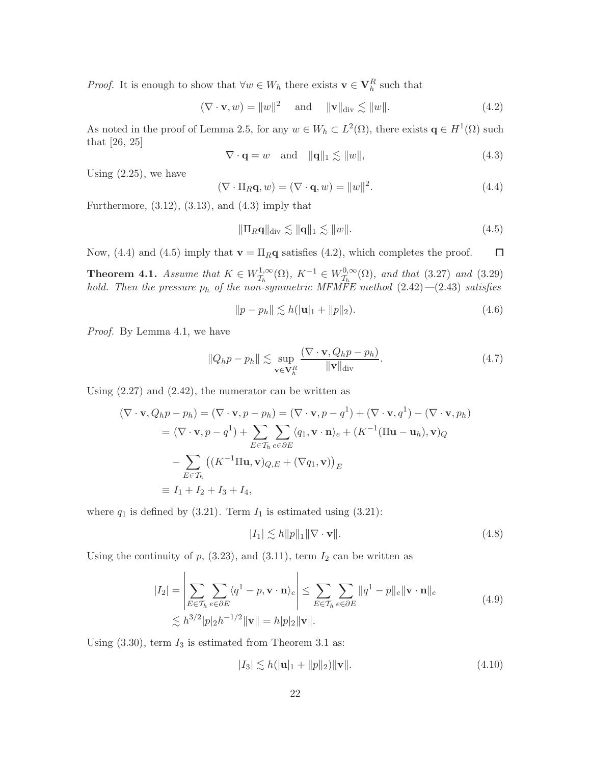*Proof.* It is enough to show that  $\forall w \in W_h$  there exists  $\mathbf{v} \in \mathbf{V}_h^R$  such that

$$
(\nabla \cdot \mathbf{v}, w) = ||w||^2 \quad \text{and} \quad ||\mathbf{v}||_{\text{div}} \lesssim ||w||. \tag{4.2}
$$

As noted in the proof of Lemma 2.5, for any  $w \in W_h \subset L^2(\Omega)$ , there exists  $\mathbf{q} \in H^1(\Omega)$  such that [26, 25]

$$
\nabla \cdot \mathbf{q} = w \quad \text{and} \quad \|\mathbf{q}\|_1 \lesssim \|w\|,\tag{4.3}
$$

Using  $(2.25)$ , we have

$$
(\nabla \cdot \Pi_R \mathbf{q}, w) = (\nabla \cdot \mathbf{q}, w) = ||w||^2.
$$
 (4.4)

Furthermore,  $(3.12)$ ,  $(3.13)$ , and  $(4.3)$  imply that

$$
\|\Pi_R \mathbf{q}\|_{\text{div}} \lesssim \|\mathbf{q}\|_1 \lesssim \|w\|.\tag{4.5}
$$

Now, (4.4) and (4.5) imply that  $\mathbf{v} = \Pi_R \mathbf{q}$  satisfies (4.2), which completes the proof.  $\Box$ 

**Theorem 4.1.** *Assume that*  $K \in W^{1,\infty}_{\mathcal{T}_k}$  $\tau_h^{1,\infty}(\Omega)$ ,  $K^{-1} \in W_{\mathcal{T}_h}^{0,\infty}$  $T_h^{0,\infty}(\Omega)$ , and that (3.27) and (3.29) *hold. Then the pressure* p<sup>h</sup> *of the non-symmetric MFMFE method* (2.42)*—*(2.43) *satisfies*

$$
||p - p_h|| \lesssim h(|\mathbf{u}|_1 + ||p||_2). \tag{4.6}
$$

*Proof.* By Lemma 4.1, we have

$$
||Q_h p - p_h|| \lesssim \sup_{\mathbf{v} \in \mathbf{V}_h^R} \frac{(\nabla \cdot \mathbf{v}, Q_h p - p_h)}{\|\mathbf{v}\|_{\text{div}}}.
$$
 (4.7)

Using  $(2.27)$  and  $(2.42)$ , the numerator can be written as

$$
(\nabla \cdot \mathbf{v}, Q_h p - p_h) = (\nabla \cdot \mathbf{v}, p - p_h) = (\nabla \cdot \mathbf{v}, p - q^1) + (\nabla \cdot \mathbf{v}, q^1) - (\nabla \cdot \mathbf{v}, p_h)
$$
  
\n
$$
= (\nabla \cdot \mathbf{v}, p - q^1) + \sum_{E \in \mathcal{T}_h} \sum_{e \in \partial E} \langle q_1, \mathbf{v} \cdot \mathbf{n} \rangle_e + (K^{-1} (\Pi \mathbf{u} - \mathbf{u}_h), \mathbf{v})_Q
$$
  
\n
$$
- \sum_{E \in \mathcal{T}_h} ((K^{-1} \Pi \mathbf{u}, \mathbf{v})_{Q,E} + (\nabla q_1, \mathbf{v}))_E
$$
  
\n
$$
\equiv I_1 + I_2 + I_3 + I_4,
$$

where  $q_1$  is defined by (3.21). Term  $I_1$  is estimated using (3.21):

$$
|I_1| \lesssim h \|p\|_1 \|\nabla \cdot \mathbf{v}\|.\tag{4.8}
$$

Using the continuity of  $p$ , (3.23), and (3.11), term  $I_2$  can be written as

$$
|I_2| = \left| \sum_{E \in \mathcal{T}_h} \sum_{e \in \partial E} \langle q^1 - p, \mathbf{v} \cdot \mathbf{n} \rangle_e \right| \le \sum_{E \in \mathcal{T}_h} \sum_{e \in \partial E} ||q^1 - p||_e ||\mathbf{v} \cdot \mathbf{n}||_e
$$
  
\$\lesssim h^{3/2} |p|\_2 h^{-1/2} ||\mathbf{v}|| = h|p|\_2 ||\mathbf{v}||. \qquad (4.9)

Using  $(3.30)$ , term  $I_3$  is estimated from Theorem 3.1 as:

$$
|I_3| \lesssim h(|\mathbf{u}|_1 + ||p||_2) ||\mathbf{v}||. \tag{4.10}
$$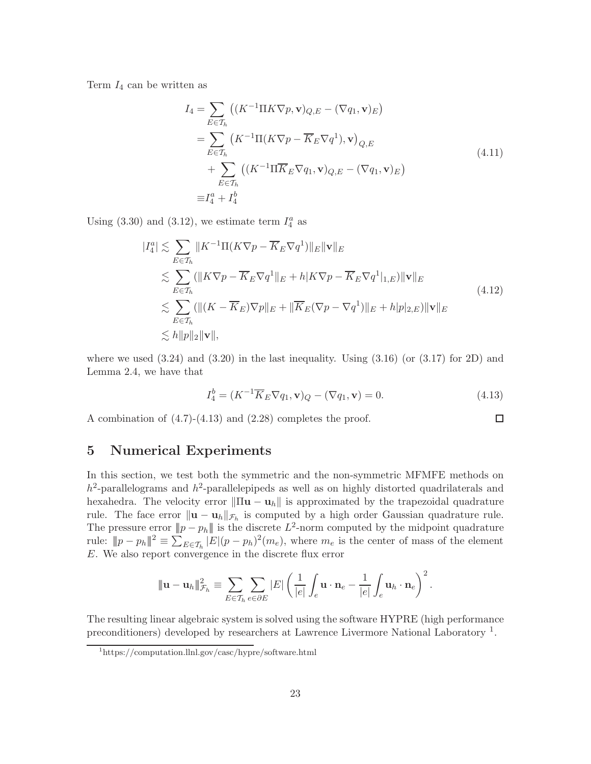Term  $I_4$  can be written as

$$
I_4 = \sum_{E \in \mathcal{T}_h} \left( (K^{-1} \Pi K \nabla p, \mathbf{v})_{Q,E} - (\nabla q_1, \mathbf{v})_E \right)
$$
  
\n
$$
= \sum_{E \in \mathcal{T}_h} \left( K^{-1} \Pi (K \nabla p - \overline{K}_E \nabla q^1), \mathbf{v} \right)_{Q,E}
$$
  
\n
$$
+ \sum_{E \in \mathcal{T}_h} \left( (K^{-1} \Pi \overline{K}_E \nabla q_1, \mathbf{v})_{Q,E} - (\nabla q_1, \mathbf{v})_E \right)
$$
  
\n
$$
\equiv I_4^a + I_4^b
$$
\n(4.11)

Using (3.30) and (3.12), we estimate term  $I_4^a$  as

$$
|I_4^a| \lesssim \sum_{E \in \mathcal{T}_h} ||K^{-1}\Pi(K\nabla p - \overline{K}_E \nabla q^1)||_E ||\mathbf{v}||_E
$$
  
\n
$$
\lesssim \sum_{E \in \mathcal{T}_h} (||K\nabla p - \overline{K}_E \nabla q^1||_E + h|K\nabla p - \overline{K}_E \nabla q^1|_{1,E}) ||\mathbf{v}||_E
$$
  
\n
$$
\lesssim \sum_{E \in \mathcal{T}_h} (||(K - \overline{K}_E)\nabla p||_E + ||\overline{K}_E(\nabla p - \nabla q^1)||_E + h|p|_{2,E}) ||\mathbf{v}||_E
$$
  
\n
$$
\lesssim h||p||_2 ||\mathbf{v}||,
$$
\n(4.12)

where we used  $(3.24)$  and  $(3.20)$  in the last inequality. Using  $(3.16)$  (or  $(3.17)$  for 2D) and Lemma 2.4, we have that

$$
I_4^b = (K^{-1}\overline{K}_E \nabla q_1, \mathbf{v})_Q - (\nabla q_1, \mathbf{v}) = 0.
$$
\n(4.13)

 $\Box$ 

A combination of (4.7)-(4.13) and (2.28) completes the proof.

# 5 Numerical Experiments

In this section, we test both the symmetric and the non-symmetric MFMFE methods on  $h^2$ -parallelograms and  $h^2$ -parallelepipeds as well as on highly distorted quadrilaterals and hexahedra. The velocity error  $\|\Pi \mathbf{u} - \mathbf{u}_h\|$  is approximated by the trapezoidal quadrature rule. The face error  $\|\mathbf{u} - \mathbf{u}_h\|_{\mathcal{F}_h}$  is computed by a high order Gaussian quadrature rule. The pressure error  $||p - p_h||$  is the discrete  $L^2$ -norm computed by the midpoint quadrature rule:  $||p - p_h||^2 \equiv \sum_{E \in \mathcal{T}_h} |E|(p - p_h)^2(m_e)$ , where  $m_e$  is the center of mass of the element E. We also report convergence in the discrete flux error

$$
\|\mathbf{u}-\mathbf{u}_h\|_{\mathcal{F}_h}^2 \equiv \sum_{E \in \mathcal{T}_h} \sum_{e \in \partial E} |E| \left(\frac{1}{|e|} \int_e \mathbf{u} \cdot \mathbf{n}_e - \frac{1}{|e|} \int_e \mathbf{u}_h \cdot \mathbf{n}_e\right)^2.
$$

The resulting linear algebraic system is solved using the software HYPRE (high performance preconditioners) developed by researchers at Lawrence Livermore National Laboratory<sup>1</sup>.

<sup>1</sup>https://computation.llnl.gov/casc/hypre/software.html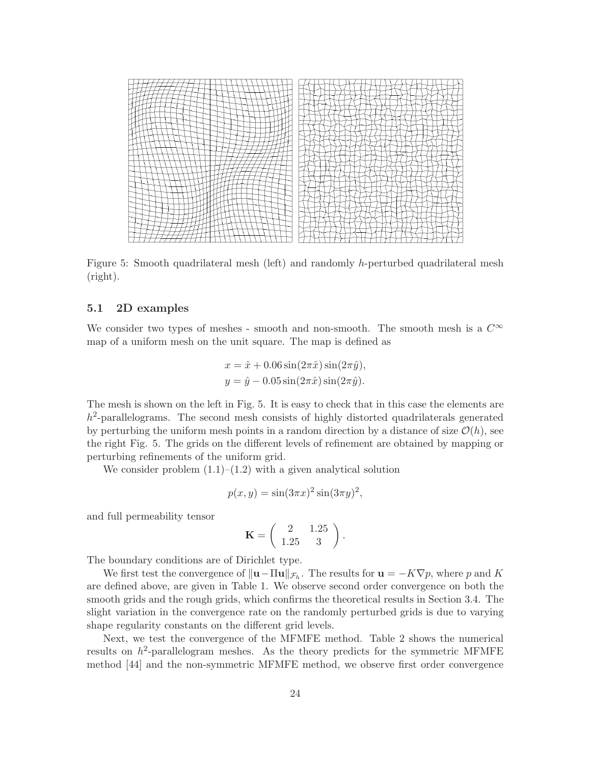

Figure 5: Smooth quadrilateral mesh (left) and randomly h-perturbed quadrilateral mesh (right).

## 5.1 2D examples

We consider two types of meshes - smooth and non-smooth. The smooth mesh is a  $C^{\infty}$ map of a uniform mesh on the unit square. The map is defined as

$$
x = \hat{x} + 0.06 \sin(2\pi \hat{x}) \sin(2\pi \hat{y}),
$$
  

$$
y = \hat{y} - 0.05 \sin(2\pi \hat{x}) \sin(2\pi \hat{y}).
$$

The mesh is shown on the left in Fig. 5. It is easy to check that in this case the elements are  $h^2$ -parallelograms. The second mesh consists of highly distorted quadrilaterals generated by perturbing the uniform mesh points in a random direction by a distance of size  $\mathcal{O}(h)$ , see the right Fig. 5. The grids on the different levels of refinement are obtained by mapping or perturbing refinements of the uniform grid.

We consider problem  $(1.1)$ – $(1.2)$  with a given analytical solution

$$
p(x, y) = \sin(3\pi x)^2 \sin(3\pi y)^2,
$$

and full permeability tensor

$$
\mathbf{K} = \left( \begin{array}{cc} 2 & 1.25 \\ 1.25 & 3 \end{array} \right).
$$

The boundary conditions are of Dirichlet type.

We first test the convergence of  $\|\mathbf{u} - \Pi \mathbf{u}\|_{\mathcal{F}_h}$ . The results for  $\mathbf{u} = -K\nabla p$ , where p and K are defined above, are given in Table 1. We observe second order convergence on both the smooth grids and the rough grids, which confirms the theoretical results in Section 3.4. The slight variation in the convergence rate on the randomly perturbed grids is due to varying shape regularity constants on the different grid levels.

Next, we test the convergence of the MFMFE method. Table 2 shows the numerical results on  $h^2$ -parallelogram meshes. As the theory predicts for the symmetric MFMFE method [44] and the non-symmetric MFMFE method, we observe first order convergence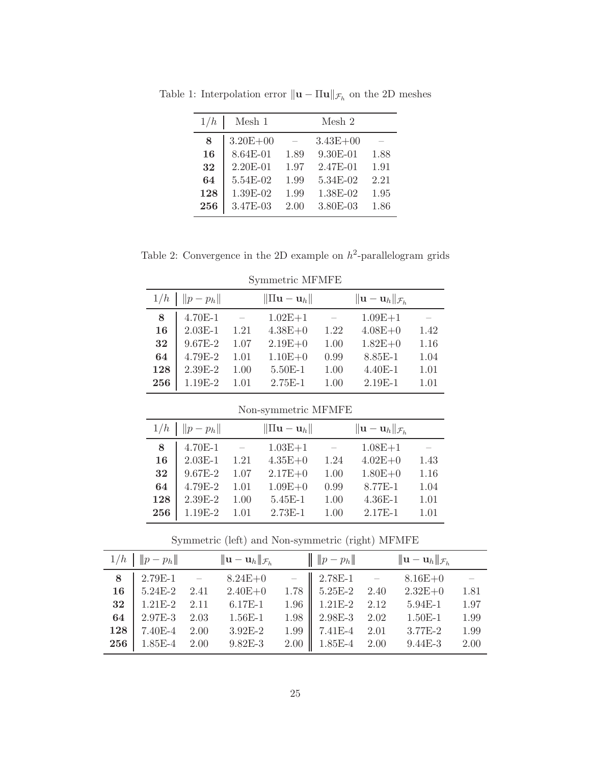| 1/h | Mesh 1       |      | Mesh 2       |      |
|-----|--------------|------|--------------|------|
| 8   | $3.20E + 00$ |      | $3.43E + 00$ |      |
| 16  | 8.64E-01     | 1.89 | $9.30E-01$   | 1.88 |
| 32  | $2.20E - 01$ | 1.97 | 2.47E-01     | 1.91 |
| 64  | 5.54E-02     | 1.99 | 5.34E-02     | 2.21 |
| 128 | 1.39E-02     | 1.99 | 1.38E-02     | 1.95 |
| 256 | 3.47E-03     | 2.00 | 3.80E-03     | 1.86 |

Table 1: Interpolation error  $\|\mathbf{u} - \Pi \mathbf{u}\|_{\mathcal{F}_h}$  on the 2D meshes

Table 2: Convergence in the 2D example on  $h^2$ -parallelogram grids

| 1/h | $  p-p_h  $ |      | $\ \Pi\mathbf{u}-\mathbf{u}_h\ $ |      | $\ \mathbf{u}-\mathbf{u}_h\ _{\mathcal{F}_h}$ |      |
|-----|-------------|------|----------------------------------|------|-----------------------------------------------|------|
| 8   | 4.70E-1     |      | $1.02E + 1$                      |      | $1.09E + 1$                                   |      |
| 16  | $2.03E-1$   | 1.21 | $4.38E + 0$                      | 1.22 | $4.08E + 0$                                   | 1.42 |
| 32  | $9.67E - 2$ | 1.07 | $2.19E + 0$                      | 1.00 | $1.82E + 0$                                   | 1.16 |
| 64  | 4.79E-2     | 1.01 | $1.10E + 0$                      | 0.99 | 8.85E-1                                       | 1.04 |
| 128 | $2.39E-2$   | 1.00 | $5.50E-1$                        | 1.00 | $4.40E-1$                                     | 1.01 |
| 256 | 1.19E-2     | 1.01 | $2.75E-1$                        | 1.00 | $2.19E-1$                                     | 1.01 |
|     |             |      |                                  |      |                                               |      |

Symmetric MFMFE

Non-symmetric MFMFE

|     | $1/h$   $  p-p_h  $ |      | $\ \Pi\mathbf{u}-\mathbf{u}_h\ $ |      | $\ \mathbf{u}-\mathbf{u}_h\ _{\mathcal{F}_h}$ |      |
|-----|---------------------|------|----------------------------------|------|-----------------------------------------------|------|
| 8   | 4.70E-1             |      | $1.03E + 1$                      |      | $1.08E + 1$                                   |      |
| 16  | $2.03E-1$           | 1.21 | $4.35E + 0$                      | 1.24 | $4.02E + 0$                                   | 1.43 |
| 32  | $9.67E - 2$         | 1.07 | $2.17E + 0$                      | 1.00 | $1.80E + 0$                                   | 1.16 |
| 64  | 4.79E-2             | 1.01 | $1.09E + 0$                      | 0.99 | 8.77E-1                                       | 1.04 |
| 128 | $2.39E-2$           | 1.00 | $5.45E-1$                        | 1.00 | $4.36E-1$                                     | 1.01 |
| 256 | $1.19E-2$           | 1.01 | $2.73E-1$                        | 1.00 | 2.17E-1                                       | 1.01 |

Symmetric (left) and Non-symmetric (right) MFMFE

|     |                  | $1/h$ $\ p-p_h\ $ $\ u-u_h\ _{\mathcal{F}_h}$                                                                                                                                                                                                 | $\ p-p_h\ $             | $ \! \! {\mathbf u}-{\mathbf u}_h \! \! _{\mathcal{F}_h}$ |      |
|-----|------------------|-----------------------------------------------------------------------------------------------------------------------------------------------------------------------------------------------------------------------------------------------|-------------------------|-----------------------------------------------------------|------|
| 8   |                  |                                                                                                                                                                                                                                               |                         |                                                           |      |
|     |                  | $\begin{array}{ccccccccc} 2.79\text{E-1} & - & 8.24\text{E+0} & - & 2.78\text{E-1} & - & 8.16\text{E+0} \\ 5.24\text{E-2} & 2.41 & 2.40\text{E+0} & 1.78 & 5.25\text{E-2} & 2.40 & 2.32\text{E+0} \end{array}$<br>16   $5.24E-2$ 2.41 2.40E+0 |                         |                                                           | 1.81 |
| 32  | $1.21E-2$ $2.11$ | $6.17E-1$                                                                                                                                                                                                                                     | $1.96$   $1.21E-2$ 2.12 | $5.94E-1$                                                 | 1.97 |
| 64  |                  | 2.97E-3 2.03 1.56E-1                                                                                                                                                                                                                          | $1.98$   2.98E-3 2.02   | $1.50E-1$                                                 | 1.99 |
| 128 | $7.40E-4$ 2.00   | $3.92E-2$                                                                                                                                                                                                                                     | $1.99$ 7.41E-4 2.01     | $3.77E-2$                                                 | 1.99 |
|     |                  | <b>256</b> 1.85E-4 2.00 9.82E-3                                                                                                                                                                                                               | $2.00$   1.85E-4 2.00   | $9.44E-3$                                                 | 2.00 |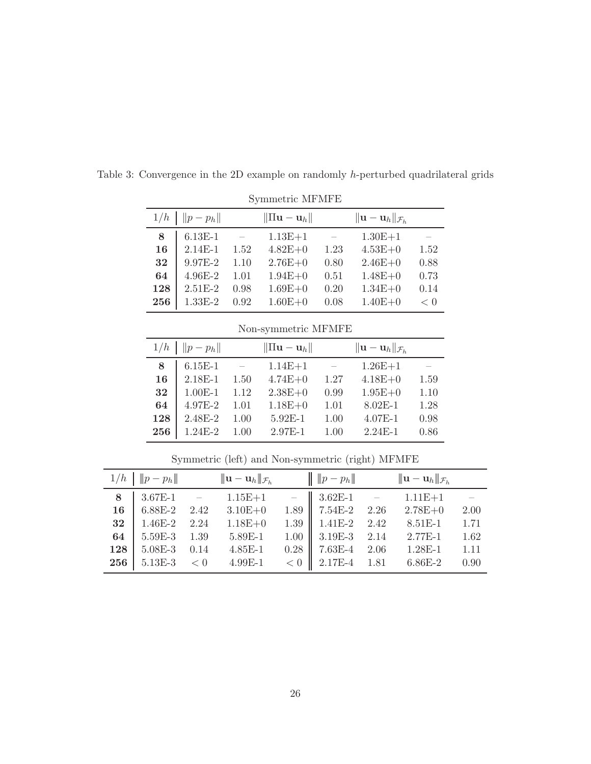|     | $\cup$ y minivario turn turn $\Box$ |                          |                                  |      |                                               |      |  |  |
|-----|-------------------------------------|--------------------------|----------------------------------|------|-----------------------------------------------|------|--|--|
|     | $1/h$   $  p-p_h  $                 |                          | $\ \Pi\mathbf{u}-\mathbf{u}_h\ $ |      | $\ \mathbf{u}-\mathbf{u}_h\ _{\mathcal{F}_h}$ |      |  |  |
| 8   | $6.13E-1$                           | $\overline{\phantom{m}}$ | $1.13E + 1$                      |      | $1.30E + 1$                                   |      |  |  |
| 16  | $2.14E-1$                           | 1.52                     | $4.82E + 0$                      | 1.23 | $4.53E + 0$                                   | 1.52 |  |  |
| 32  | $9.97E-2$                           | 1.10                     | $2.76E + 0$                      | 0.80 | $2.46E + 0$                                   | 0.88 |  |  |
| 64  | $4.96E - 2$                         | 1.01                     | $1.94E + 0$                      | 0.51 | $1.48E + 0$                                   | 0.73 |  |  |
| 128 | $2.51E-2$                           | 0.98                     | $1.69E + 0$                      | 0.20 | $1.34E + 0$                                   | 0.14 |  |  |
| 256 | $1.33E-2$                           | 0.92                     | $1.60E + 0$                      | 0.08 | $1.40E + 0$                                   | < 0  |  |  |

Table 3: Convergence in the 2D example on randomly h-perturbed quadrilateral grids

Symmetric MFMFE

Non-symmetric MFMFE

|     | $1/h$   $  p-p_h  $ |                    | $\ \Pi \mathbf{u} - \mathbf{u}_h\ $ |      | $\ \mathbf{u}-\mathbf{u}_h\ _{\mathcal{F}_h}$ |      |
|-----|---------------------|--------------------|-------------------------------------|------|-----------------------------------------------|------|
| 8   | $6.15E-1$           | $\hspace{0.1cm} -$ | $1.14E + 1$                         |      | $1.26E+1$                                     |      |
| 16  | $2.18E-1$           | 1.50               | $4.74E + 0$                         | 1.27 | $4.18E + 0$                                   | 1.59 |
| 32  | $1.00E-1$           | 1.12               | $2.38E + 0$                         | 0.99 | $1.95E + 0$                                   | 1.10 |
| 64  | $4.97E - 2$         | 1.01               | $1.18E + 0$                         | 1.01 | $8.02E - 1$                                   | 1.28 |
| 128 | $2.48E - 2$         | 1.00               | 5.92E-1                             | 1.00 | $4.07E-1$                                     | 0.98 |
| 256 | $1.24E-2$           | 1.00               | 2.97E-1                             | 1.00 | $2.24E-1$                                     | 0.86 |

 $1/h \parallel ||p - p_h||$   $||\mathbf{u} - \mathbf{u}_h||_{\mathcal{F}_h}$  $\|\|p - p_h\|$   $\|u - u_h\|_{\mathcal{F}_h}$ 8 3.67E-1 – 1.15E+1 – 3.62E-1 – 1.11E+1 – 6.88E-2 2.42 3.10E+0 1.89 7.54E-2 2.26 2.78E+0 2.00 1.46E-2 2.24 1.18E+0 1.39 1.41E-2 2.42 8.51E-1 1.71 64 | 5.59E-3 1.39 5.89E-1 1.00 || 3.19E-3 2.14 2.77E-1 1.62 128 | 5.08E-3 0.14 4.85E-1 0.28 || 7.63E-4 2.06 1.28E-1 1.11 | 5.13E-3  $\lt 0$  4.99E-1  $\lt 0$  | 2.17E-4 1.81 6.86E-2 0.90

Symmetric (left) and Non-symmetric (right) MFMFE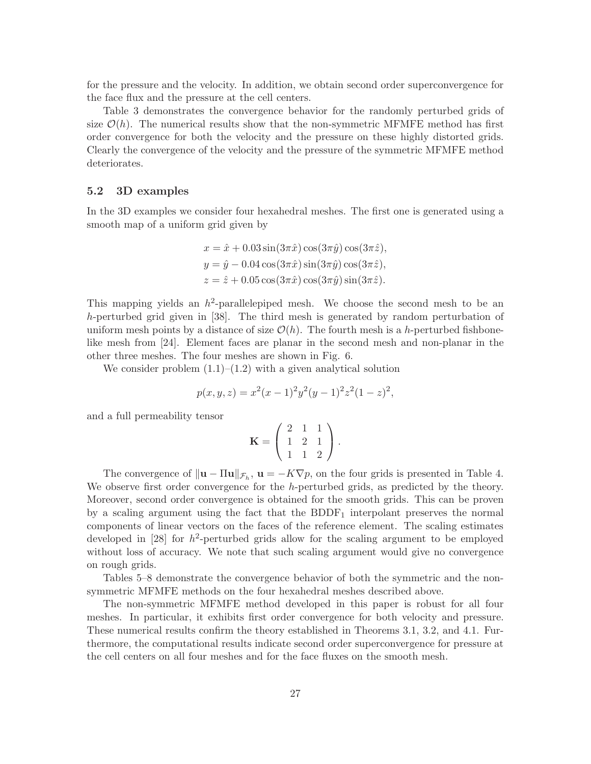for the pressure and the velocity. In addition, we obtain second order superconvergence for the face flux and the pressure at the cell centers.

Table 3 demonstrates the convergence behavior for the randomly perturbed grids of size  $\mathcal{O}(h)$ . The numerical results show that the non-symmetric MFMFE method has first order convergence for both the velocity and the pressure on these highly distorted grids. Clearly the convergence of the velocity and the pressure of the symmetric MFMFE method deteriorates.

## 5.2 3D examples

In the 3D examples we consider four hexahedral meshes. The first one is generated using a smooth map of a uniform grid given by

$$
x = \hat{x} + 0.03 \sin(3\pi \hat{x}) \cos(3\pi \hat{y}) \cos(3\pi \hat{z}),
$$
  
\n
$$
y = \hat{y} - 0.04 \cos(3\pi \hat{x}) \sin(3\pi \hat{y}) \cos(3\pi \hat{z}),
$$
  
\n
$$
z = \hat{z} + 0.05 \cos(3\pi \hat{x}) \cos(3\pi \hat{y}) \sin(3\pi \hat{z}).
$$

This mapping yields an  $h^2$ -parallelepiped mesh. We choose the second mesh to be an h-perturbed grid given in [38]. The third mesh is generated by random perturbation of uniform mesh points by a distance of size  $\mathcal{O}(h)$ . The fourth mesh is a h-perturbed fishbonelike mesh from [24]. Element faces are planar in the second mesh and non-planar in the other three meshes. The four meshes are shown in Fig. 6.

We consider problem  $(1.1)$ – $(1.2)$  with a given analytical solution

$$
p(x, y, z) = x^{2}(x - 1)^{2}y^{2}(y - 1)^{2}z^{2}(1 - z)^{2},
$$

and a full permeability tensor

$$
\mathbf{K} = \left( \begin{array}{rrr} 2 & 1 & 1 \\ 1 & 2 & 1 \\ 1 & 1 & 2 \end{array} \right).
$$

The convergence of  $\|\mathbf{u} - \Pi \mathbf{u}\|_{\mathcal{F}_h}$ ,  $\mathbf{u} = -K\nabla p$ , on the four grids is presented in Table 4. We observe first order convergence for the h-perturbed grids, as predicted by the theory. Moreover, second order convergence is obtained for the smooth grids. This can be proven by a scaling argument using the fact that the  $BDDF<sub>1</sub>$  interpolant preserves the normal components of linear vectors on the faces of the reference element. The scaling estimates developed in  $[28]$  for  $h^2$ -perturbed grids allow for the scaling argument to be employed without loss of accuracy. We note that such scaling argument would give no convergence on rough grids.

Tables 5–8 demonstrate the convergence behavior of both the symmetric and the nonsymmetric MFMFE methods on the four hexahedral meshes described above.

The non-symmetric MFMFE method developed in this paper is robust for all four meshes. In particular, it exhibits first order convergence for both velocity and pressure. These numerical results confirm the theory established in Theorems 3.1, 3.2, and 4.1. Furthermore, the computational results indicate second order superconvergence for pressure at the cell centers on all four meshes and for the face fluxes on the smooth mesh.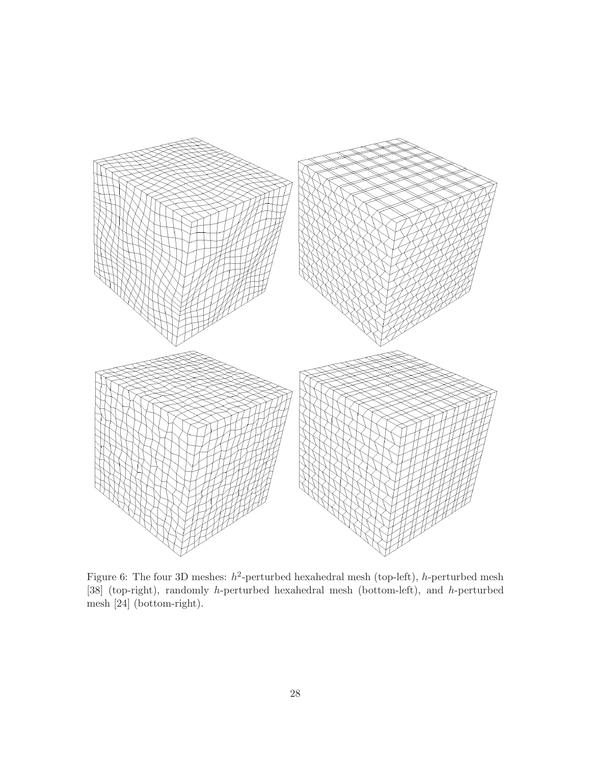

Figure 6: The four 3D meshes:  $h^2$ -perturbed hexahedral mesh (top-left), h-perturbed mesh [38] (top-right), randomly h-perturbed hexahedral mesh (bottom-left), and h-perturbed mesh [24] (bottom-right).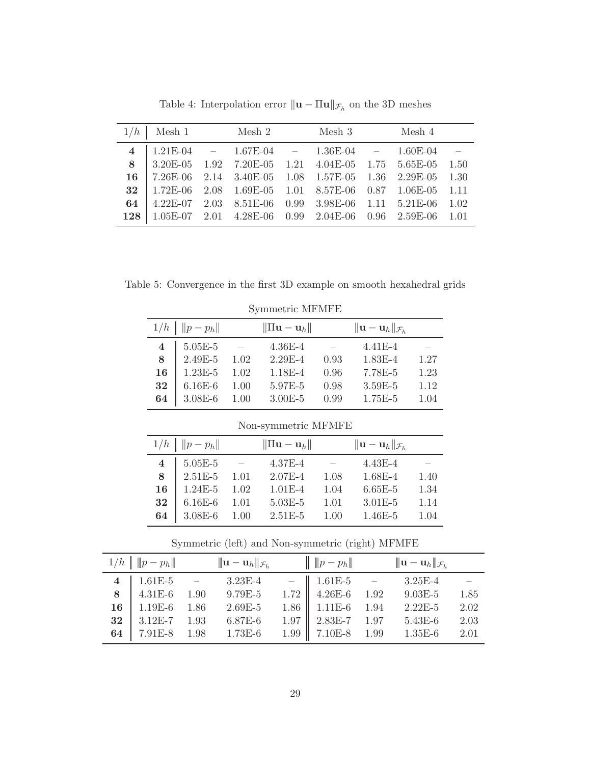| $1/h$   Mesh 1 Mesh 2 Mesh 3 Mesh 4                                                                                                                                                                |  |  |  |  |
|----------------------------------------------------------------------------------------------------------------------------------------------------------------------------------------------------|--|--|--|--|
| 4   $1.21E-04$ - $1.67E-04$ - $1.36E-04$ - $1.60E-04$ -                                                                                                                                            |  |  |  |  |
| 8 3.20E-05 1.92 7.20E-05 1.21 4.04E-05 1.75 5.65E-05 1.50                                                                                                                                          |  |  |  |  |
| $\begin{array}{ccccccccc} \textbf{16} & \textbf{7.26E-06} & \textbf{2.14} & \textbf{3.40E-05} & \textbf{1.08} & \textbf{1.57E-05} & \textbf{1.36} & \textbf{2.29E-05} & \textbf{1.30} \end{array}$ |  |  |  |  |
| 32   1.72E-06 2.08 1.69E-05 1.01 8.57E-06 0.87 1.06E-05 1.11                                                                                                                                       |  |  |  |  |
| 64 4.22E-07 2.03 8.51E-06 0.99 3.98E-06 1.11 5.21E-06 1.02                                                                                                                                         |  |  |  |  |
| 128 1.05E-07 2.01 4.28E-06 0.99 2.04E-06 0.96 2.59E-06 1.01                                                                                                                                        |  |  |  |  |

Table 4: Interpolation error  $\|\mathbf{u} - \Pi \mathbf{u}\|_{\mathcal{F}_h}$  on the 3D meshes

Table 5: Convergence in the first 3D example on smooth hexahedral grids

| 1/h                 | $  p-p_h  $ |      | $\ \Pi\mathbf{u}-\mathbf{u}_h\ $ |      | $\ \mathbf{u}-\mathbf{u}_h\ _{\mathcal{F}_h}$ |      |  |  |
|---------------------|-------------|------|----------------------------------|------|-----------------------------------------------|------|--|--|
| 4                   | $5.05E - 5$ |      | $4.36E - 4$                      |      | $4.41E - 4$                                   |      |  |  |
| 8                   | $2.49E - 5$ | 1.02 | $2.29E - 4$                      | 0.93 | 1.83E-4                                       | 1.27 |  |  |
| 16                  | $1.23E-5$   | 1.02 | 1.18E-4                          | 0.96 | 7.78E-5                                       | 1.23 |  |  |
| 32                  | $6.16E-6$   | 1.00 | 5.97E-5                          | 0.98 | $3.59E-5$                                     | 1.12 |  |  |
| 64                  | $3.08E - 6$ | 1.00 | $3.00E - 5$                      | 0.99 | $1.75E-5$                                     | 1.04 |  |  |
|                     |             |      |                                  |      |                                               |      |  |  |
| Non-symmetric MFMFE |             |      |                                  |      |                                               |      |  |  |
|                     |             |      |                                  |      |                                               |      |  |  |
| 1/h                 | $  p-p_h  $ |      | $\ \Pi\mathbf{u}-\mathbf{u}_h\ $ |      | $\ \mathbf{u}-\mathbf{u}_h\ _{\mathcal{F}_h}$ |      |  |  |
| 4                   | $5.05E - 5$ |      | 4.37E-4                          |      | $4.43E - 4$                                   |      |  |  |
| 8                   | $2.51E-5$   | 1.01 | $2.07E - 4$                      | 1.08 | $1.68E - 4$                                   | 1.40 |  |  |
| 16                  | $1.24E-5$   | 1.02 | $1.01E-4$                        | 1.04 | $6.65E - 5$                                   | 1.34 |  |  |
| 32                  | $6.16E-6$   | 1.01 | $5.03E - 5$                      | 1.01 | $3.01E - 5$                                   | 1.14 |  |  |
| 64                  | $3.08E - 6$ | 1.00 | $2.51E-5$                        | 1.00 | $1.46E - 5$                                   | 1.04 |  |  |

Symmetric MFMFE

Symmetric (left) and Non-symmetric (right) MFMFE

| $1/h$   $  p-p_h  $ | $ \! \! {\mathbf u}-{\mathbf u}_h \! \! _{\mathcal{F}_h}$                                                                                                                                                                    | $\ p-p_h\ $         | $ \! \! {\bf u}-{\bf u}_h \! \! _{\mathcal{F}_h}$ |      |
|---------------------|------------------------------------------------------------------------------------------------------------------------------------------------------------------------------------------------------------------------------|---------------------|---------------------------------------------------|------|
|                     | $\begin{array}{c cccccc} 4 & 1.61 \text{E-5} & - & 3.23 \text{E-4} & - & 1.61 \text{E-5} & - & 3.25 \text{E-4} \ 8 & 4.31 \text{E-6} & 1.90 & 9.79 \text{E-5} & 1.72 & 4.26 \text{E-6} & 1.92 & 9.03 \text{E-5} \end{array}$ |                     |                                                   |      |
|                     |                                                                                                                                                                                                                              |                     |                                                   | 1.85 |
|                     | 16 1.19E-6 1.86 2.69E-5                                                                                                                                                                                                      | $1.86$ 1.11E-6 1.94 | $2.22E-5$ $2.02$                                  |      |
|                     | 32 $3.12E-7$ 1.93 6.87E-6                                                                                                                                                                                                    |                     | 1.97   $2.83E-7$ 1.97 $5.43E-6$                   | 2.03 |
|                     | 64 7.91E-8 1.98 1.73E-6                                                                                                                                                                                                      |                     | $1.99$ 7.10E-8 1.99 1.35E-6                       | 2.01 |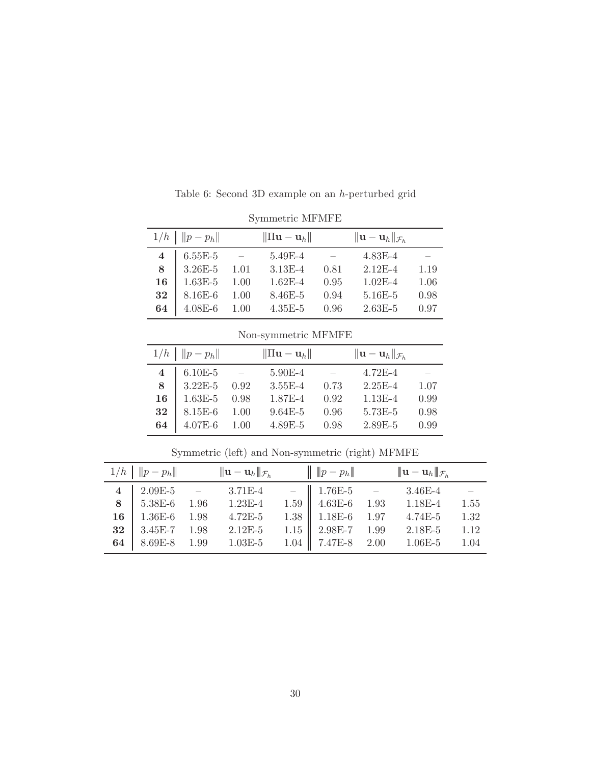|                     | Symmetric MFMFE |                                  |             |                                               |             |      |  |  |  |  |
|---------------------|-----------------|----------------------------------|-------------|-----------------------------------------------|-------------|------|--|--|--|--|
| $1/h$   $  p-p_h  $ |                 | $\ \Pi\mathbf{u}-\mathbf{u}_h\ $ |             | $\ \mathbf{u}-\mathbf{u}_h\ _{\mathcal{F}_h}$ |             |      |  |  |  |  |
| $\overline{4}$      | $6.55E-5$       |                                  | 5.49E-4     |                                               | $4.83E-4$   |      |  |  |  |  |
| 8                   | 3.26E-5         | 1.01                             | $3.13E-4$   | 0.81                                          | $2.12E-4$   | 1.19 |  |  |  |  |
| 16                  | $1.63E-5$       | 1.00                             | $1.62E - 4$ | 0.95                                          | $1.02E - 4$ | 1.06 |  |  |  |  |
| 32                  | $8.16E-6$       | 1.00                             | 8.46E-5     | 0.94                                          | 5.16E-5     | 0.98 |  |  |  |  |
| 64                  | $4.08E - 6$     | 1.00                             | $4.35E - 5$ | 0.96                                          | $2.63E-5$   | 0.97 |  |  |  |  |

Table 6: Second 3D example on an h-perturbed grid

# Non-symmetric MFMFE

| $1/h$   $  p-p_h  $                                                                                                  | $\ \Pi\mathbf{u}-\mathbf{u}_h\ $ |      | $\ \mathbf{u}-\mathbf{u}_h\ _{\mathcal{F}_h}$ |      |
|----------------------------------------------------------------------------------------------------------------------|----------------------------------|------|-----------------------------------------------|------|
|                                                                                                                      | $5.90E-4$ -                      |      | $4.72E-4$                                     |      |
| $\begin{array}{c cc} \textbf{4} & \textbf{6.10E-5} & - \\ \textbf{8} & \textbf{3.22E-5} & \textbf{0.92} \end{array}$ | $3.55E-4$                        | 0.73 | $2.25E - 4$                                   | 1.07 |
| $16$ 1.63E-5 0.98                                                                                                    | 1.87E-4 0.92                     |      | $1.13E-4$                                     | 0.99 |
| <b>32</b> 8.15E-6 1.00                                                                                               | $9.64E - 5$                      | 0.96 | $5.73E-5$                                     | 0.98 |
| 64 4.07E-6 1.00                                                                                                      | 4.89E-5 0.98                     |      | $2.89E - 5$                                   | 0.99 |

|  | $1/h \parallel   p - p_h  $ $  \mathbf{u} - \mathbf{u}_h  _{\mathcal{F}_h}$ $  \parallel p - p_h  $ $  \mathbf{u} - \mathbf{u}_h  _{\mathcal{F}_h}$                                                                                                |  |                                        |  |
|--|----------------------------------------------------------------------------------------------------------------------------------------------------------------------------------------------------------------------------------------------------|--|----------------------------------------|--|
|  | $\begin{array}{c cccccc} \textbf{4} & 2.09\text{E-5} & - & 3.71\text{E-4} & - & 1.76\text{E-5} & - & 3.46\text{E-4} & - \\ \textbf{8} & 5.38\text{E-6} & 1.96 & 1.23\text{E-4} & 1.59 & 4.63\text{E-6} & 1.93 & 1.18\text{E-4} & 1.55 \end{array}$ |  |                                        |  |
|  |                                                                                                                                                                                                                                                    |  |                                        |  |
|  | 16 1.36E-6 1.98 4.72E-5                                                                                                                                                                                                                            |  | 1.38 $1.18E-6$ 1.97 4.74E-5 1.32       |  |
|  | 32 3.45E-7 1.98 2.12E-5                                                                                                                                                                                                                            |  | 1.15 $\vert$ 2.98E-7 1.99 2.18E-5 1.12 |  |
|  | 64   8.69E-8 $1.99$ $1.03E-5$                                                                                                                                                                                                                      |  | $1.04$ 7.47E-8 2.00 1.06E-5 1.04       |  |

Symmetric (left) and Non-symmetric (right) MFMFE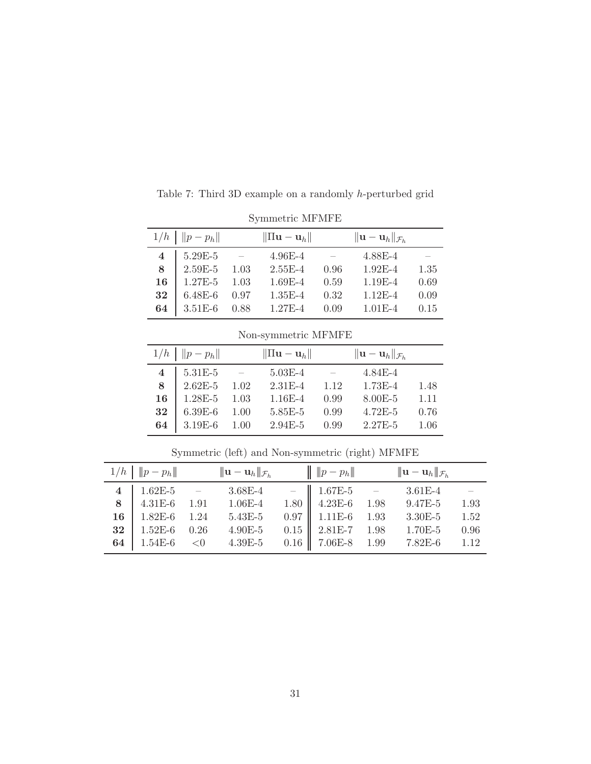| Symmetric MFMFE |                     |      |                                  |      |                                               |      |  |  |  |
|-----------------|---------------------|------|----------------------------------|------|-----------------------------------------------|------|--|--|--|
|                 | $1/h$   $  p-p_h  $ |      | $\ \Pi\mathbf{u}-\mathbf{u}_h\ $ |      | $\ \mathbf{u}-\mathbf{u}_h\ _{\mathcal{F}_h}$ |      |  |  |  |
| 4               | 5.29E-5             |      | $4.96E - 4$                      |      | 4.88E-4                                       |      |  |  |  |
| 8               | $2.59E-5$           | 1.03 | $2.55E-4$                        | 0.96 | $1.92E-4$                                     | 1.35 |  |  |  |
| 16              | $1.27E-5$           | 1.03 | 1.69E-4                          | 0.59 | $1.19E-4$                                     | 0.69 |  |  |  |
| 32              | $6.48E-6$           | 0.97 | $1.35E-4$                        | 0.32 | $1.12E-4$                                     | 0.09 |  |  |  |
| 64              | $3.51E-6$           | 0.88 | $1.27E-4$                        | 0.09 | $1.01E-4$                                     | 0.15 |  |  |  |

Table 7: Third 3D example on a randomly h-perturbed grid

Non-symmetric MFMFE

| $1/h$   $  p-p_h  $ | $\ \Pi\mathbf{u}-\mathbf{u}_h\ $ |                            | $\ \mathbf{u}-\mathbf{u}_h\ _{\mathcal{F}_h}$ |         |
|---------------------|----------------------------------|----------------------------|-----------------------------------------------|---------|
| $4   5.31E-5 -$     | $5.03E-4$                        | and the state of the state | $4.84E-4$                                     |         |
| 8 2.62E-5 1.02      | $2.31E - 4$                      | 1.12                       | $1.73E-4$                                     | 1.48    |
| 16 1.28E-5 1.03     | $1.16E-4$                        | 0.99                       | $8.00E-5$                                     | $-1.11$ |
| 32   6.39E-6 $1.00$ | $5.85E-5$                        | 0.99                       | $4.72E-5$                                     | 0.76    |
| 64 3.19E-6 1.00     | $2.94E - 5$                      | 0.99                       | $2.27E-5$ 1.06                                |         |

|  | $1/h \parallel   p - p_h  $ $  \mathbf{u} - \mathbf{u}_h  _{\mathcal{F}_h}$ $  \mathbf{v} - p_h  $ $  \mathbf{u} - \mathbf{u}_h  _{\mathcal{F}_h}$                                                                                              |  |                                    |      |
|--|-------------------------------------------------------------------------------------------------------------------------------------------------------------------------------------------------------------------------------------------------|--|------------------------------------|------|
|  | $\begin{array}{c cccccc} 4 & 1.62 \text{E-5} & - & 3.68 \text{E-4} & - & 1.67 \text{E-5} & - & 3.61 \text{E-4} & - \\ \hline 8 & 4.31 \text{E-6} & 1.91 & 1.06 \text{E-4} & 1.80 & 4.23 \text{E-6} & 1.98 & 9.47 \text{E-5} & 1.93 \end{array}$ |  |                                    |      |
|  |                                                                                                                                                                                                                                                 |  |                                    |      |
|  | 16   $1.82E-6$ 1.24 $5.43E-5$                                                                                                                                                                                                                   |  | $0.97$   1.11E-6 1.93 3.30E-5 1.52 |      |
|  | 32 1.52E-6 0.26 4.90E-5 0.15 2.81E-7 1.98 1.70E-5                                                                                                                                                                                               |  |                                    | 0.96 |
|  | 64 1.54E-6 < 0 4.39E-5 0.16 7.06E-8 1.99 7.82E-6 1.12                                                                                                                                                                                           |  |                                    |      |

Symmetric (left) and Non-symmetric (right) MFMFE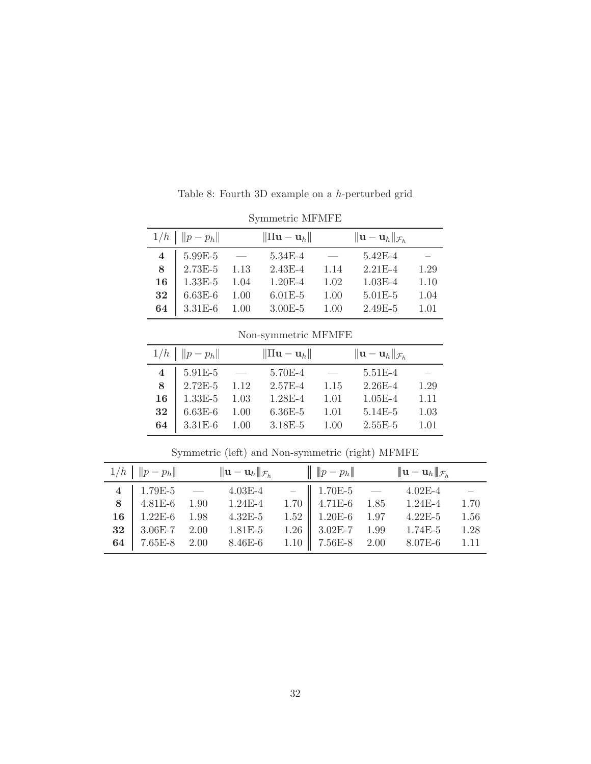|                | $1/h$   $  p-p_h  $ | $\ \Pi\mathbf{u}-\mathbf{u}_h\ $ |      | $\ \mathbf{u}-\mathbf{u}_h\ _{\mathcal{F}_h}$ |      |
|----------------|---------------------|----------------------------------|------|-----------------------------------------------|------|
| $\overline{4}$ | $5.99E-5$           | $5.34E-4$                        |      | $5.42E-4$                                     |      |
| 8              | $2.73E-5$ 1.13      | $2.43E-4$                        | 1.14 | $2.21E-4$                                     | 1.29 |
|                | 16   $1.33E-5$ 1.04 | $1.20E-4$                        | 1.02 | $1.03E-4$                                     | 1.10 |
| 32             | $6.63E-6$ 1.00      | $6.01E - 5$                      | 1.00 | $5.01E-5$                                     | 1.04 |
| 64             | $3.31E-6$ 1.00      | $3.00E - 5$                      | 1.00 | $2.49E-5$                                     | 1.01 |

Table 8: Fourth 3D example on a h-perturbed grid

Symmetric MFMFE

Non-symmetric MFMFE

|        | $1/h$   $  p-p_h  $ | $\ \Pi\mathbf{u}-\mathbf{u}_h\ $ |        | $\ \mathbf{u}-\mathbf{u}_h\ _{\mathcal{F}_h}$ |      |
|--------|---------------------|----------------------------------|--------|-----------------------------------------------|------|
|        |                     |                                  |        |                                               |      |
|        | $4   5.91E-5 -$     | 5.70E-4                          | $\sim$ | $5.51E-4$                                     |      |
|        | 8 2.72E-5 1.12      | $2.57E-4$                        | 1.15   | $2.26E - 4$                                   | 1.29 |
|        | 16   $1.33E-5$ 1.03 | $1.28E-4$                        | 1.01   | $1.05E-4$                                     | 1.11 |
| $32\,$ | $6.63E-6$ 1.00      | $6.36E-5$                        | 1.01   | $5.14E-5$                                     | 1.03 |
|        | 64 3.31E-6 1.00     | $3.18E - 5$                      | 1.00   | $2.55E-5$                                     | 1.01 |

|  | $1/h \parallel   p - p_h  $ $  \mathbf{u} - \mathbf{u}_h  _{\mathcal{F}_h}$ $  \mathbf{v} - p_h  $ $  \mathbf{u} - \mathbf{u}_h  _{\mathcal{F}_h}$                                     |  |                                            |  |
|--|----------------------------------------------------------------------------------------------------------------------------------------------------------------------------------------|--|--------------------------------------------|--|
|  | $\begin{tabular}{c cccccc} 4 & 1.79E-5 & - & 4.03E-4 & - & 1.70E-5 & - & 4.02E-4 & - \\ 8 & 4.81E-6 & 1.90 & 1.24E-4 & 1.70 & 4.71E-6 & 1.85 & 1.24E-4 & 1.70 \\ \hline \end{tabular}$ |  |                                            |  |
|  |                                                                                                                                                                                        |  |                                            |  |
|  |                                                                                                                                                                                        |  |                                            |  |
|  | 32   3.06E-7 2.00 1.81E-5                                                                                                                                                              |  | 1.26 $\parallel$ 3.02E-7 1.99 1.74E-5 1.28 |  |
|  | 64   7.65E-8 2.00 8.46E-6 1.10   7.56E-8 2.00 8.07E-6 1.11                                                                                                                             |  |                                            |  |

Symmetric (left) and Non-symmetric (right) MFMFE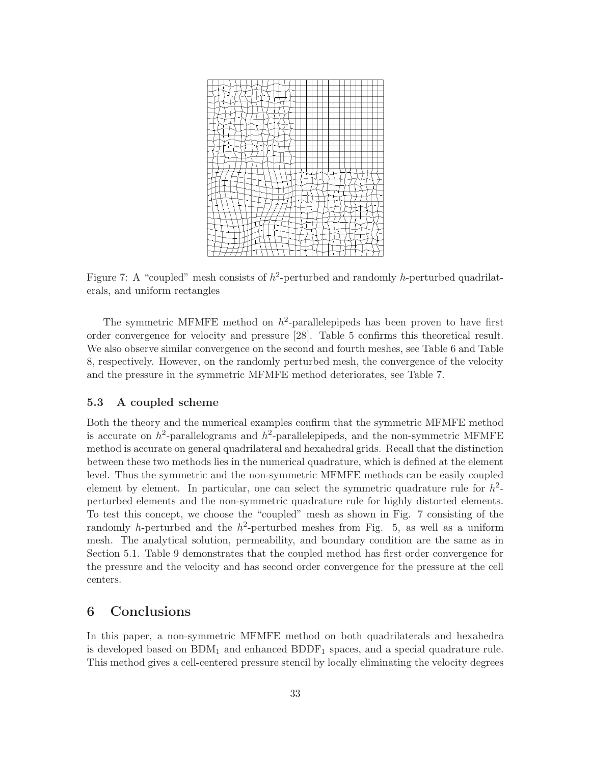

Figure 7: A "coupled" mesh consists of  $h^2$ -perturbed and randomly h-perturbed quadrilaterals, and uniform rectangles

The symmetric MFMFE method on  $h^2$ -parallelepipeds has been proven to have first order convergence for velocity and pressure [28]. Table 5 confirms this theoretical result. We also observe similar convergence on the second and fourth meshes, see Table 6 and Table 8, respectively. However, on the randomly perturbed mesh, the convergence of the velocity and the pressure in the symmetric MFMFE method deteriorates, see Table 7.

## 5.3 A coupled scheme

Both the theory and the numerical examples confirm that the symmetric MFMFE method is accurate on  $h^2$ -parallelograms and  $h^2$ -parallelepipeds, and the non-symmetric MFMFE method is accurate on general quadrilateral and hexahedral grids. Recall that the distinction between these two methods lies in the numerical quadrature, which is defined at the element level. Thus the symmetric and the non-symmetric MFMFE methods can be easily coupled element by element. In particular, one can select the symmetric quadrature rule for  $h^2$ perturbed elements and the non-symmetric quadrature rule for highly distorted elements. To test this concept, we choose the "coupled" mesh as shown in Fig. 7 consisting of the randomly h-perturbed and the  $h^2$ -perturbed meshes from Fig. 5, as well as a uniform mesh. The analytical solution, permeability, and boundary condition are the same as in Section 5.1. Table 9 demonstrates that the coupled method has first order convergence for the pressure and the velocity and has second order convergence for the pressure at the cell centers.

# 6 Conclusions

In this paper, a non-symmetric MFMFE method on both quadrilaterals and hexahedra is developed based on  $BDM_1$  and enhanced  $BDDF_1$  spaces, and a special quadrature rule. This method gives a cell-centered pressure stencil by locally eliminating the velocity degrees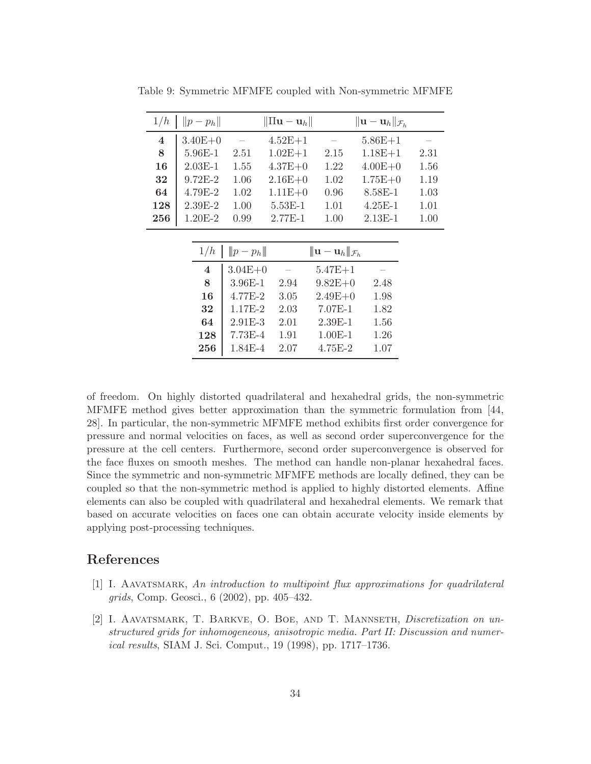| $  p-p_h  $             |             |             |                                |                                  |                                                                                                                                           |
|-------------------------|-------------|-------------|--------------------------------|----------------------------------|-------------------------------------------------------------------------------------------------------------------------------------------|
| $3.40E + 0$             |             | $4.52E+1$   |                                | $5.86E + 1$                      |                                                                                                                                           |
| 5.96E-1                 | 2.51        | $1.02E + 1$ | 2.15                           | $1.18E + 1$                      | 2.31                                                                                                                                      |
| $2.03E-1$               | 1.55        | $4.37E + 0$ | 1.22                           | $4.00E + 0$                      | 1.56                                                                                                                                      |
| $9.72E - 2$             | 1.06        | $2.16E+0$   | 1.02                           | $1.75E+0$                        | 1.19                                                                                                                                      |
| 4.79E-2                 | 1.02        | $1.11E + 0$ | 0.96                           | 8.58E-1                          | 1.03                                                                                                                                      |
| $2.39E-2$               | 1.00        | $5.53E-1$   | 1.01                           | $4.25E - 1$                      | 1.01                                                                                                                                      |
| 1.20E-2                 | 0.99        | $2.77E-1$   | 1.00                           | $2.13E-1$                        | 1.00                                                                                                                                      |
|                         |             |             |                                |                                  |                                                                                                                                           |
| 1/h                     |             |             |                                |                                  |                                                                                                                                           |
| $\overline{\mathbf{4}}$ |             |             |                                |                                  |                                                                                                                                           |
| 8                       | $3.96E - 1$ | 2.94        |                                | 2.48                             |                                                                                                                                           |
| 16                      | $4.77E-2$   | 3.05        |                                | 1.98                             |                                                                                                                                           |
| 32                      | $1.17E-2$   | 2.03        | $7.07E-1$                      | 1.82                             |                                                                                                                                           |
| 64                      | $2.91E-3$   | 2.01        | $2.39E-1$                      | 1.56                             |                                                                                                                                           |
| 128                     | $7.73E-4$   | 1.91        | $1.00E-1$                      | 1.26                             |                                                                                                                                           |
| $\bf 256$               | 1.84E-4     | 2.07        | $4.75E-2$                      | 1.07                             |                                                                                                                                           |
|                         |             |             | $\n  Q p - p_h$<br>$3.04E + 0$ | $\ \Pi\mathbf{u}-\mathbf{u}_h\ $ | $\ \mathbf{u}-\mathbf{u}_h\ _{\mathcal{F}_h}$<br>$\ \mathbf{u}-\mathbf{u}_h\ _{\mathcal{F}_h}$<br>$5.47E + 1$<br>$9.82E+0$<br>$2.49E + 0$ |

Table 9: Symmetric MFMFE coupled with Non-symmetric MFMFE

of freedom. On highly distorted quadrilateral and hexahedral grids, the non-symmetric MFMFE method gives better approximation than the symmetric formulation from [44, 28]. In particular, the non-symmetric MFMFE method exhibits first order convergence for pressure and normal velocities on faces, as well as second order superconvergence for the pressure at the cell centers. Furthermore, second order superconvergence is observed for the face fluxes on smooth meshes. The method can handle non-planar hexahedral faces. Since the symmetric and non-symmetric MFMFE methods are locally defined, they can be coupled so that the non-symmetric method is applied to highly distorted elements. Affine elements can also be coupled with quadrilateral and hexahedral elements. We remark that based on accurate velocities on faces one can obtain accurate velocity inside elements by applying post-processing techniques.

# References

- [1] I. Aavatsmark, *An introduction to multipoint flux approximations for quadrilateral grids*, Comp. Geosci., 6 (2002), pp. 405–432.
- [2] I. Aavatsmark, T. Barkve, O. Boe, and T. Mannseth, *Discretization on unstructured grids for inhomogeneous, anisotropic media. Part II: Discussion and numerical results*, SIAM J. Sci. Comput., 19 (1998), pp. 1717–1736.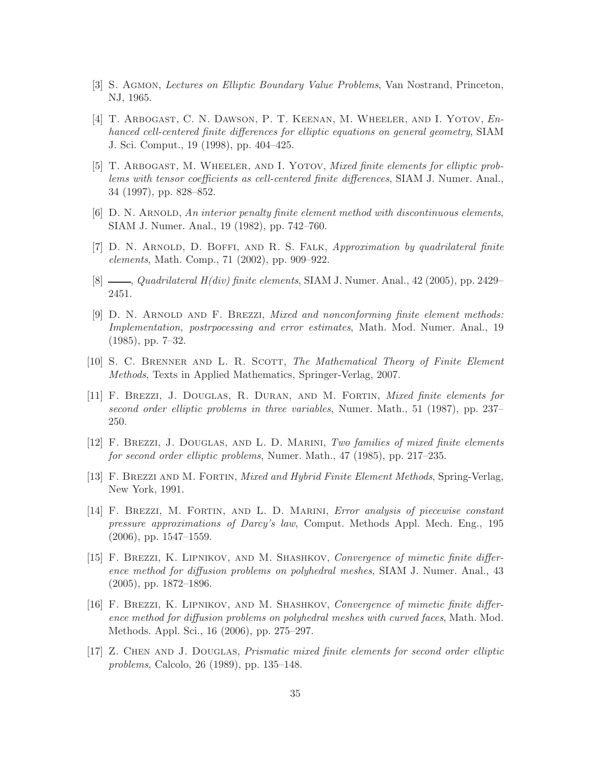- [3] S. Agmon, *Lectures on Elliptic Boundary Value Problems*, Van Nostrand, Princeton, NJ, 1965.
- [4] T. Arbogast, C. N. Dawson, P. T. Keenan, M. Wheeler, and I. Yotov, *Enhanced cell-centered finite differences for elliptic equations on general geometry*, SIAM J. Sci. Comput., 19 (1998), pp. 404–425.
- [5] T. Arbogast, M. Wheeler, and I. Yotov, *Mixed finite elements for elliptic problems with tensor coefficients as cell-centered finite differences*, SIAM J. Numer. Anal., 34 (1997), pp. 828–852.
- [6] D. N. ARNOLD, *An interior penalty finite element method with discontinuous elements*, SIAM J. Numer. Anal., 19 (1982), pp. 742–760.
- [7] D. N. Arnold, D. Boffi, and R. S. Falk, *Approximation by quadrilateral finite elements*, Math. Comp., 71 (2002), pp. 909–922.
- [8] , *Quadrilateral H(div) finite elements*, SIAM J. Numer. Anal., 42 (2005), pp. 2429– 2451.
- [9] D. N. Arnold and F. Brezzi, *Mixed and nonconforming finite element methods: Implementation, postrpocessing and error estimates*, Math. Mod. Numer. Anal., 19 (1985), pp. 7–32.
- [10] S. C. Brenner and L. R. Scott, *The Mathematical Theory of Finite Element Methods*, Texts in Applied Mathematics, Springer-Verlag, 2007.
- [11] F. Brezzi, J. Douglas, R. Duran, and M. Fortin, *Mixed finite elements for second order elliptic problems in three variables*, Numer. Math., 51 (1987), pp. 237– 250.
- [12] F. Brezzi, J. Douglas, and L. D. Marini, *Two families of mixed finite elements for second order elliptic problems*, Numer. Math., 47 (1985), pp. 217–235.
- [13] F. Brezzi and M. Fortin, *Mixed and Hybrid Finite Element Methods*, Spring-Verlag, New York, 1991.
- [14] F. Brezzi, M. Fortin, and L. D. Marini, *Error analysis of piecewise constant pressure approximations of Darcy's law*, Comput. Methods Appl. Mech. Eng., 195 (2006), pp. 1547–1559.
- [15] F. Brezzi, K. Lipnikov, and M. Shashkov, *Convergence of mimetic finite difference method for diffusion problems on polyhedral meshes*, SIAM J. Numer. Anal., 43 (2005), pp. 1872–1896.
- [16] F. Brezzi, K. Lipnikov, and M. Shashkov, *Convergence of mimetic finite difference method for diffusion problems on polyhedral meshes with curved faces*, Math. Mod. Methods. Appl. Sci., 16 (2006), pp. 275–297.
- [17] Z. Chen and J. Douglas, *Prismatic mixed finite elements for second order elliptic problems*, Calcolo, 26 (1989), pp. 135–148.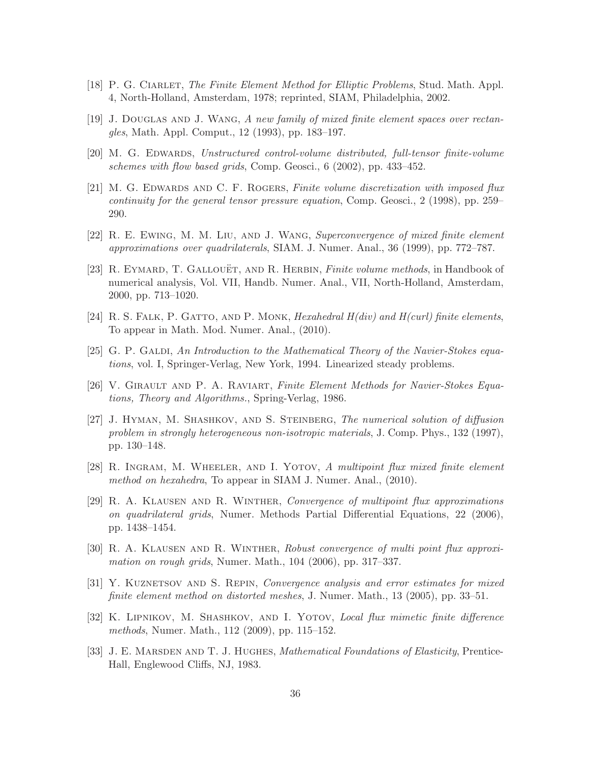- [18] P. G. Ciarlet, *The Finite Element Method for Elliptic Problems*, Stud. Math. Appl. 4, North-Holland, Amsterdam, 1978; reprinted, SIAM, Philadelphia, 2002.
- [19] J. Douglas and J. Wang, *A new family of mixed finite element spaces over rectangles*, Math. Appl. Comput., 12 (1993), pp. 183–197.
- [20] M. G. Edwards, *Unstructured control-volume distributed, full-tensor finite-volume schemes with flow based grids*, Comp. Geosci., 6 (2002), pp. 433–452.
- [21] M. G. Edwards and C. F. Rogers, *Finite volume discretization with imposed flux continuity for the general tensor pressure equation*, Comp. Geosci., 2 (1998), pp. 259– 290.
- [22] R. E. Ewing, M. M. Liu, and J. Wang, *Superconvergence of mixed finite element approximations over quadrilaterals*, SIAM. J. Numer. Anal., 36 (1999), pp. 772–787.
- [23] R. Eymard, T. Gallou¨et, and R. Herbin, *Finite volume methods*, in Handbook of numerical analysis, Vol. VII, Handb. Numer. Anal., VII, North-Holland, Amsterdam, 2000, pp. 713–1020.
- [24] R. S. Falk, P. Gatto, and P. Monk, *Hexahedral H(div) and H(curl) finite elements*, To appear in Math. Mod. Numer. Anal., (2010).
- [25] G. P. GALDI, An Introduction to the Mathematical Theory of the Navier-Stokes equa*tions*, vol. I, Springer-Verlag, New York, 1994. Linearized steady problems.
- [26] V. Girault and P. A. Raviart, *Finite Element Methods for Navier-Stokes Equations, Theory and Algorithms.*, Spring-Verlag, 1986.
- [27] J. Hyman, M. Shashkov, and S. Steinberg, *The numerical solution of diffusion problem in strongly heterogeneous non-isotropic materials*, J. Comp. Phys., 132 (1997), pp. 130–148.
- [28] R. Ingram, M. Wheeler, and I. Yotov, *A multipoint flux mixed finite element method on hexahedra*, To appear in SIAM J. Numer. Anal., (2010).
- [29] R. A. Klausen and R. Winther, *Convergence of multipoint flux approximations on quadrilateral grids*, Numer. Methods Partial Differential Equations, 22 (2006), pp. 1438–1454.
- [30] R. A. Klausen and R. Winther, *Robust convergence of multi point flux approximation on rough grids*, Numer. Math., 104 (2006), pp. 317–337.
- [31] Y. Kuznetsov and S. Repin, *Convergence analysis and error estimates for mixed finite element method on distorted meshes*, J. Numer. Math., 13 (2005), pp. 33–51.
- [32] K. Lipnikov, M. Shashkov, and I. Yotov, *Local flux mimetic finite difference methods*, Numer. Math., 112 (2009), pp. 115–152.
- [33] J. E. MARSDEN AND T. J. HUGHES, *Mathematical Foundations of Elasticity*, Prentice-Hall, Englewood Cliffs, NJ, 1983.